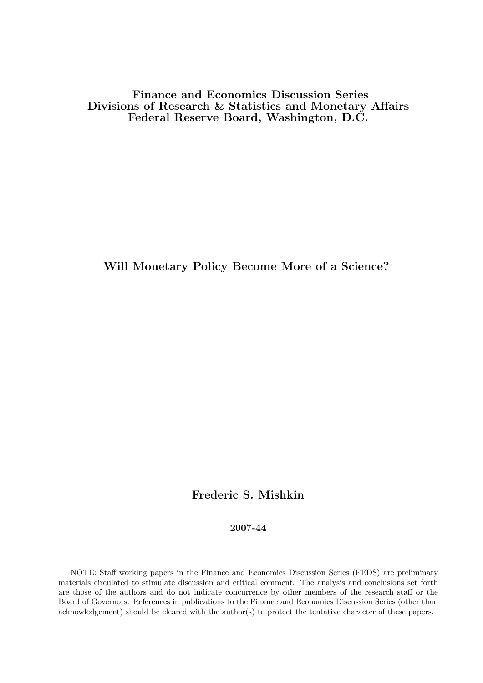Finance and Economics Discussion Series Divisions of Research & Statistics and Monetary Affairs Federal Reserve Board, Washington, D.C.

# Will Monetary Policy Become More of a Science?

# Frederic S. Mishkin

#### 2007-44

NOTE: Staff working papers in the Finance and Economics Discussion Series (FEDS) are preliminary materials circulated to stimulate discussion and critical comment. The analysis and conclusions set forth are those of the authors and do not indicate concurrence by other members of the research staff or the Board of Governors. References in publications to the Finance and Economics Discussion Series (other than acknowledgement) should be cleared with the author(s) to protect the tentative character of these papers.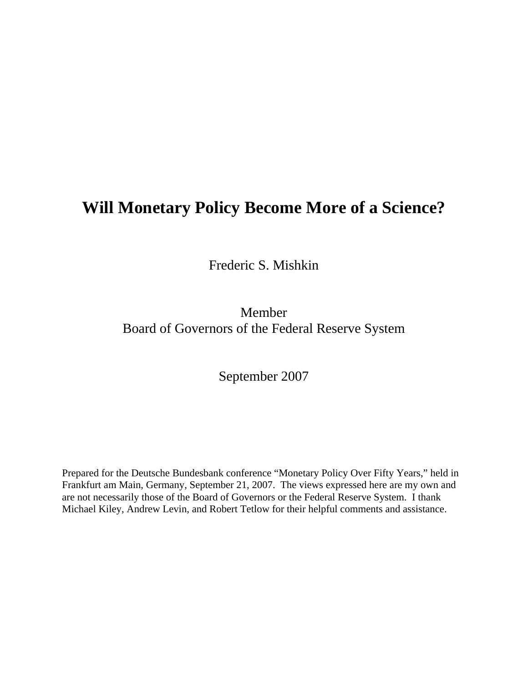# **Will Monetary Policy Become More of a Science?**

Frederic S. Mishkin

Member Board of Governors of the Federal Reserve System

September 2007

Prepared for the Deutsche Bundesbank conference "Monetary Policy Over Fifty Years," held in Frankfurt am Main, Germany, September 21, 2007. The views expressed here are my own and are not necessarily those of the Board of Governors or the Federal Reserve System. I thank Michael Kiley, Andrew Levin, and Robert Tetlow for their helpful comments and assistance.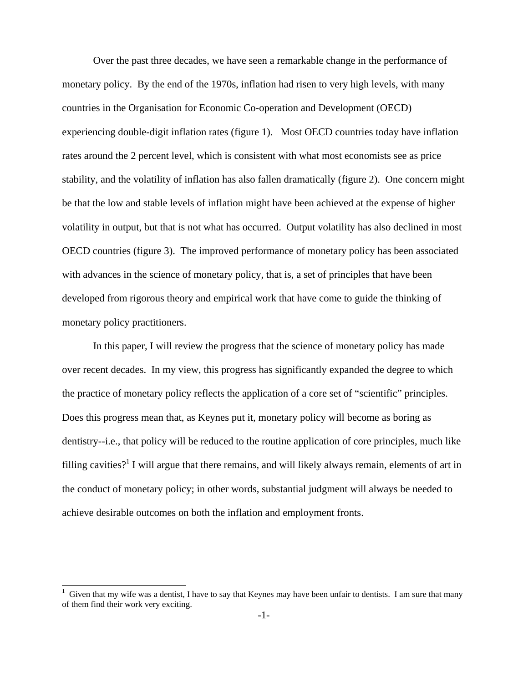Over the past three decades, we have seen a remarkable change in the performance of monetary policy. By the end of the 1970s, inflation had risen to very high levels, with many countries in the Organisation for Economic Co-operation and Development (OECD) experiencing double-digit inflation rates (figure 1). Most OECD countries today have inflation rates around the 2 percent level, which is consistent with what most economists see as price stability, and the volatility of inflation has also fallen dramatically (figure 2). One concern might be that the low and stable levels of inflation might have been achieved at the expense of higher volatility in output, but that is not what has occurred. Output volatility has also declined in most OECD countries (figure 3). The improved performance of monetary policy has been associated with advances in the science of monetary policy, that is, a set of principles that have been developed from rigorous theory and empirical work that have come to guide the thinking of monetary policy practitioners.

 In this paper, I will review the progress that the science of monetary policy has made over recent decades. In my view, this progress has significantly expanded the degree to which the practice of monetary policy reflects the application of a core set of "scientific" principles. Does this progress mean that, as Keynes put it, monetary policy will become as boring as dentistry--i.e., that policy will be reduced to the routine application of core principles, much like filling cavities?<sup>1</sup> I will argue that there remains, and will likely always remain, elements of art in the conduct of monetary policy; in other words, substantial judgment will always be needed to achieve desirable outcomes on both the inflation and employment fronts.

<sup>&</sup>lt;sup>1</sup> Given that my wife was a dentist, I have to say that Keynes may have been unfair to dentists. I am sure that many of them find their work very exciting.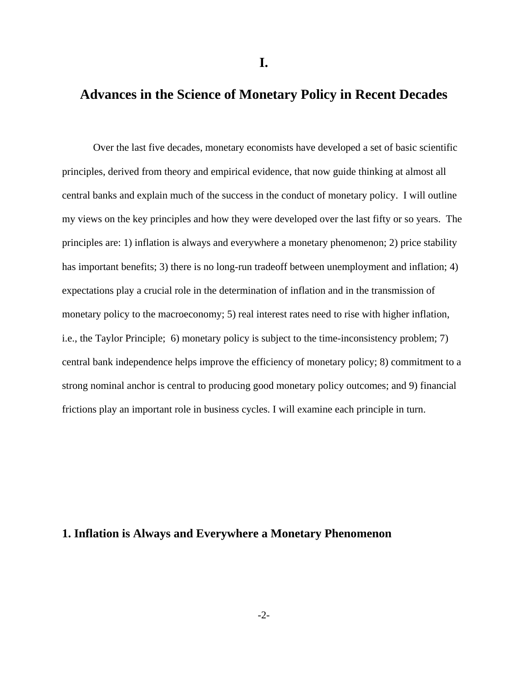**I.** 

# **Advances in the Science of Monetary Policy in Recent Decades**

Over the last five decades, monetary economists have developed a set of basic scientific principles, derived from theory and empirical evidence, that now guide thinking at almost all central banks and explain much of the success in the conduct of monetary policy. I will outline my views on the key principles and how they were developed over the last fifty or so years. The principles are: 1) inflation is always and everywhere a monetary phenomenon; 2) price stability has important benefits; 3) there is no long-run tradeoff between unemployment and inflation; 4) expectations play a crucial role in the determination of inflation and in the transmission of monetary policy to the macroeconomy; 5) real interest rates need to rise with higher inflation, i.e., the Taylor Principle; 6) monetary policy is subject to the time-inconsistency problem; 7) central bank independence helps improve the efficiency of monetary policy; 8) commitment to a strong nominal anchor is central to producing good monetary policy outcomes; and 9) financial frictions play an important role in business cycles. I will examine each principle in turn.

# **1. Inflation is Always and Everywhere a Monetary Phenomenon**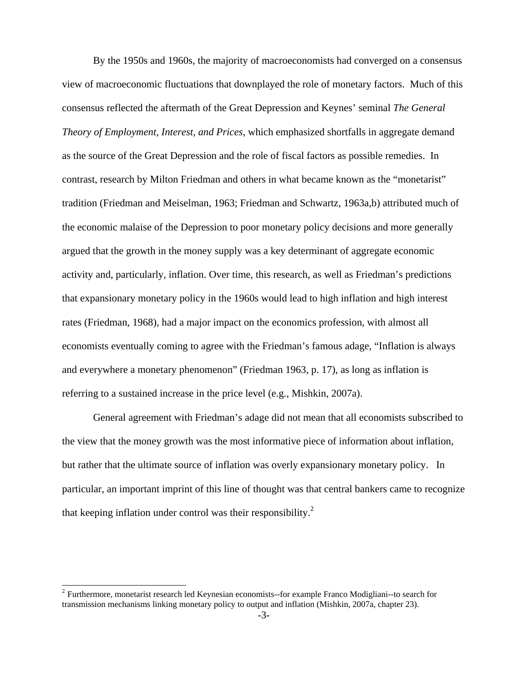By the 1950s and 1960s, the majority of macroeconomists had converged on a consensus view of macroeconomic fluctuations that downplayed the role of monetary factors. Much of this consensus reflected the aftermath of the Great Depression and Keynes' seminal *The General Theory of Employment, Interest, and Prices*, which emphasized shortfalls in aggregate demand as the source of the Great Depression and the role of fiscal factors as possible remedies. In contrast, research by Milton Friedman and others in what became known as the "monetarist" tradition (Friedman and Meiselman, 1963; Friedman and Schwartz, 1963a,b) attributed much of the economic malaise of the Depression to poor monetary policy decisions and more generally argued that the growth in the money supply was a key determinant of aggregate economic activity and, particularly, inflation. Over time, this research, as well as Friedman's predictions that expansionary monetary policy in the 1960s would lead to high inflation and high interest rates (Friedman, 1968), had a major impact on the economics profession, with almost all economists eventually coming to agree with the Friedman's famous adage, "Inflation is always and everywhere a monetary phenomenon" (Friedman 1963, p. 17), as long as inflation is referring to a sustained increase in the price level (e.g., Mishkin, 2007a).

 General agreement with Friedman's adage did not mean that all economists subscribed to the view that the money growth was the most informative piece of information about inflation, but rather that the ultimate source of inflation was overly expansionary monetary policy. In particular, an important imprint of this line of thought was that central bankers came to recognize that keeping inflation under control was their responsibility.<sup>2</sup>

 $\overline{a}$ 

 $2^2$  Furthermore, monetarist research led Keynesian economists--for example Franco Modigliani--to search for transmission mechanisms linking monetary policy to output and inflation (Mishkin, 2007a, chapter 23).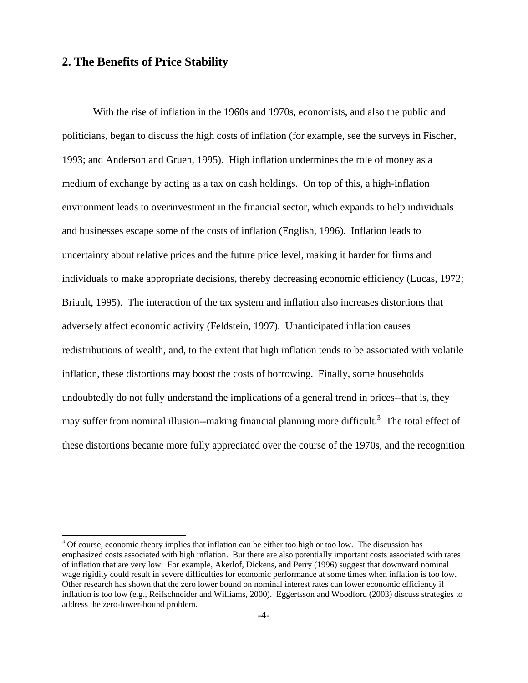# **2. The Benefits of Price Stability**

 $\overline{\phantom{a}}$ 

 With the rise of inflation in the 1960s and 1970s, economists, and also the public and politicians, began to discuss the high costs of inflation (for example, see the surveys in Fischer, 1993; and Anderson and Gruen, 1995). High inflation undermines the role of money as a medium of exchange by acting as a tax on cash holdings. On top of this, a high-inflation environment leads to overinvestment in the financial sector, which expands to help individuals and businesses escape some of the costs of inflation (English, 1996). Inflation leads to uncertainty about relative prices and the future price level, making it harder for firms and individuals to make appropriate decisions, thereby decreasing economic efficiency (Lucas, 1972; Briault, 1995). The interaction of the tax system and inflation also increases distortions that adversely affect economic activity (Feldstein, 1997). Unanticipated inflation causes redistributions of wealth, and, to the extent that high inflation tends to be associated with volatile inflation, these distortions may boost the costs of borrowing. Finally, some households undoubtedly do not fully understand the implications of a general trend in prices--that is, they may suffer from nominal illusion--making financial planning more difficult.<sup>3</sup> The total effect of these distortions became more fully appreciated over the course of the 1970s, and the recognition

 $3$  Of course, economic theory implies that inflation can be either too high or too low. The discussion has emphasized costs associated with high inflation. But there are also potentially important costs associated with rates of inflation that are very low. For example, Akerlof, Dickens, and Perry (1996) suggest that downward nominal wage rigidity could result in severe difficulties for economic performance at some times when inflation is too low. Other research has shown that the zero lower bound on nominal interest rates can lower economic efficiency if inflation is too low (e.g., Reifschneider and Williams, 2000). Eggertsson and Woodford (2003) discuss strategies to address the zero-lower-bound problem.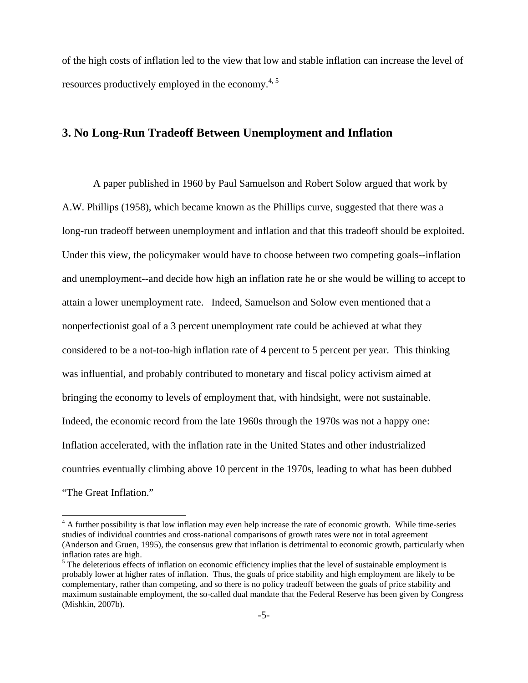of the high costs of inflation led to the view that low and stable inflation can increase the level of resources productively employed in the economy. $4,5$ 

#### **3. No Long-Run Tradeoff Between Unemployment and Inflation**

 A paper published in 1960 by Paul Samuelson and Robert Solow argued that work by A.W. Phillips (1958), which became known as the Phillips curve, suggested that there was a long-run tradeoff between unemployment and inflation and that this tradeoff should be exploited. Under this view, the policymaker would have to choose between two competing goals--inflation and unemployment--and decide how high an inflation rate he or she would be willing to accept to attain a lower unemployment rate. Indeed, Samuelson and Solow even mentioned that a nonperfectionist goal of a 3 percent unemployment rate could be achieved at what they considered to be a not-too-high inflation rate of 4 percent to 5 percent per year. This thinking was influential, and probably contributed to monetary and fiscal policy activism aimed at bringing the economy to levels of employment that, with hindsight, were not sustainable. Indeed, the economic record from the late 1960s through the 1970s was not a happy one: Inflation accelerated, with the inflation rate in the United States and other industrialized countries eventually climbing above 10 percent in the 1970s, leading to what has been dubbed "The Great Inflation."

 $\overline{\phantom{a}}$ 

<sup>&</sup>lt;sup>4</sup> A further possibility is that low inflation may even help increase the rate of economic growth. While time-series studies of individual countries and cross-national comparisons of growth rates were not in total agreement (Anderson and Gruen, 1995), the consensus grew that inflation is detrimental to economic growth, particularly when inflation rates are high.

 $<sup>5</sup>$  The deleterious effects of inflation on economic efficiency implies that the level of sustainable employment is</sup> probably lower at higher rates of inflation. Thus, the goals of price stability and high employment are likely to be complementary, rather than competing, and so there is no policy tradeoff between the goals of price stability and maximum sustainable employment, the so-called dual mandate that the Federal Reserve has been given by Congress (Mishkin, 2007b).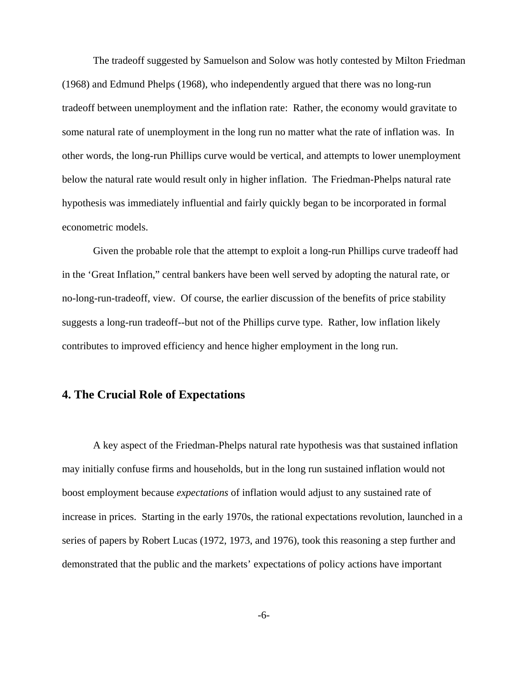The tradeoff suggested by Samuelson and Solow was hotly contested by Milton Friedman (1968) and Edmund Phelps (1968), who independently argued that there was no long-run tradeoff between unemployment and the inflation rate: Rather, the economy would gravitate to some natural rate of unemployment in the long run no matter what the rate of inflation was. In other words, the long-run Phillips curve would be vertical, and attempts to lower unemployment below the natural rate would result only in higher inflation. The Friedman-Phelps natural rate hypothesis was immediately influential and fairly quickly began to be incorporated in formal econometric models.

 Given the probable role that the attempt to exploit a long-run Phillips curve tradeoff had in the 'Great Inflation," central bankers have been well served by adopting the natural rate, or no-long-run-tradeoff, view. Of course, the earlier discussion of the benefits of price stability suggests a long-run tradeoff--but not of the Phillips curve type. Rather, low inflation likely contributes to improved efficiency and hence higher employment in the long run.

### **4. The Crucial Role of Expectations**

 A key aspect of the Friedman-Phelps natural rate hypothesis was that sustained inflation may initially confuse firms and households, but in the long run sustained inflation would not boost employment because *expectations* of inflation would adjust to any sustained rate of increase in prices. Starting in the early 1970s, the rational expectations revolution, launched in a series of papers by Robert Lucas (1972, 1973, and 1976), took this reasoning a step further and demonstrated that the public and the markets' expectations of policy actions have important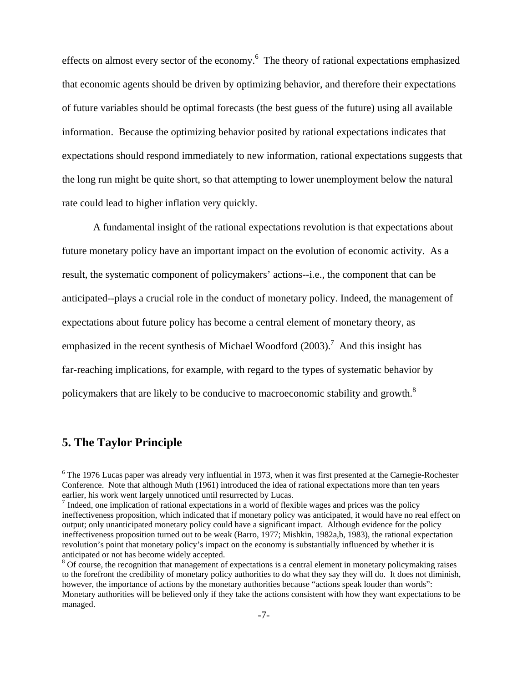effects on almost every sector of the economy.<sup>6</sup> The theory of rational expectations emphasized that economic agents should be driven by optimizing behavior, and therefore their expectations of future variables should be optimal forecasts (the best guess of the future) using all available information. Because the optimizing behavior posited by rational expectations indicates that expectations should respond immediately to new information, rational expectations suggests that the long run might be quite short, so that attempting to lower unemployment below the natural rate could lead to higher inflation very quickly.

 A fundamental insight of the rational expectations revolution is that expectations about future monetary policy have an important impact on the evolution of economic activity. As a result, the systematic component of policymakers' actions--i.e., the component that can be anticipated--plays a crucial role in the conduct of monetary policy. Indeed, the management of expectations about future policy has become a central element of monetary theory, as emphasized in the recent synthesis of Michael Woodford  $(2003)$ .<sup>7</sup> And this insight has far-reaching implications, for example, with regard to the types of systematic behavior by policymakers that are likely to be conducive to macroeconomic stability and growth.<sup>8</sup>

# **5. The Taylor Principle**

<sup>&</sup>lt;sup>6</sup> The 1976 Lucas paper was already very influential in 1973, when it was first presented at the Carnegie-Rochester Conference. Note that although Muth (1961) introduced the idea of rational expectations more than ten years earlier, his work went largely unnoticed until resurrected by Lucas.<br><sup>7</sup> Indeed, one implication of rational expectations in a world of flexible wages and prices was the policy

ineffectiveness proposition, which indicated that if monetary policy was anticipated, it would have no real effect on output; only unanticipated monetary policy could have a significant impact. Although evidence for the policy ineffectiveness proposition turned out to be weak (Barro, 1977; Mishkin, 1982a,b, 1983), the rational expectation revolution's point that monetary policy's impact on the economy is substantially influenced by whether it is anticipated or not has become widely accepted.

<sup>&</sup>lt;sup>8</sup> Of course, the recognition that management of expectations is a central element in monetary policymaking raises to the forefront the credibility of monetary policy authorities to do what they say they will do. It does not diminish, however, the importance of actions by the monetary authorities because "actions speak louder than words": Monetary authorities will be believed only if they take the actions consistent with how they want expectations to be managed.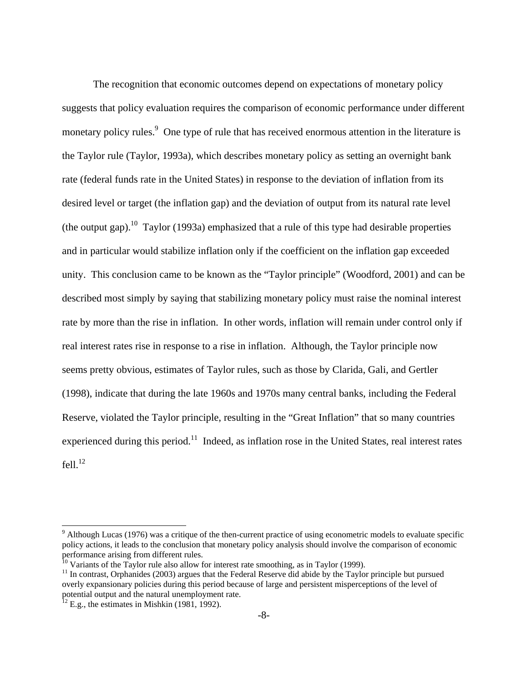The recognition that economic outcomes depend on expectations of monetary policy suggests that policy evaluation requires the comparison of economic performance under different monetary policy rules.<sup>9</sup> One type of rule that has received enormous attention in the literature is the Taylor rule (Taylor, 1993a), which describes monetary policy as setting an overnight bank rate (federal funds rate in the United States) in response to the deviation of inflation from its desired level or target (the inflation gap) and the deviation of output from its natural rate level (the output gap).<sup>10</sup> Taylor (1993a) emphasized that a rule of this type had desirable properties and in particular would stabilize inflation only if the coefficient on the inflation gap exceeded unity. This conclusion came to be known as the "Taylor principle" (Woodford, 2001) and can be described most simply by saying that stabilizing monetary policy must raise the nominal interest rate by more than the rise in inflation. In other words, inflation will remain under control only if real interest rates rise in response to a rise in inflation. Although, the Taylor principle now seems pretty obvious, estimates of Taylor rules, such as those by Clarida, Gali, and Gertler (1998), indicate that during the late 1960s and 1970s many central banks, including the Federal Reserve, violated the Taylor principle, resulting in the "Great Inflation" that so many countries experienced during this period.<sup>11</sup> Indeed, as inflation rose in the United States, real interest rates fell. $^{12}$ 

<sup>&</sup>lt;sup>9</sup> Although Lucas (1976) was a critique of the then-current practice of using econometric models to evaluate specific policy actions, it leads to the conclusion that monetary policy analysis should involve the comparison of economic performance arising from different rules.<br><sup>10</sup> Variants of the Taylor rule also allow for interest rate smoothing, as in Taylor (1999).

 $11$  In contrast, Orphanides (2003) argues that the Federal Reserve did abide by the Taylor principle but pursued overly expansionary policies during this period because of large and persistent misperceptions of the level of potential output and the natural unemployment rate.

 $^{12}$  E.g., the estimates in Mishkin (1981, 1992).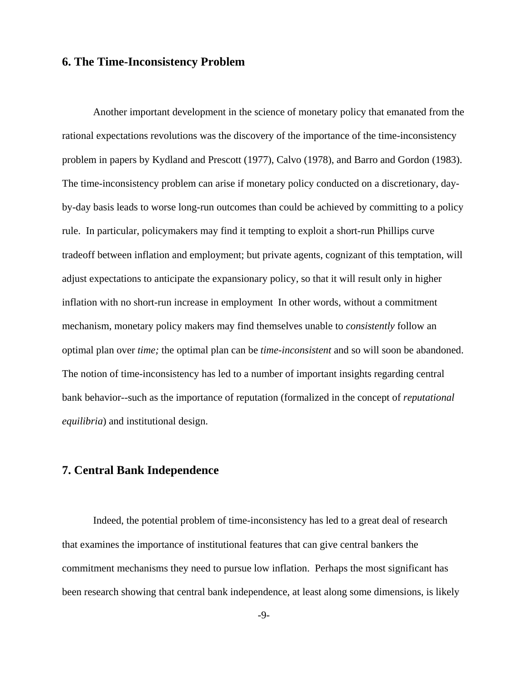# **6. The Time-Inconsistency Problem**

 Another important development in the science of monetary policy that emanated from the rational expectations revolutions was the discovery of the importance of the time-inconsistency problem in papers by Kydland and Prescott (1977), Calvo (1978), and Barro and Gordon (1983). The time-inconsistency problem can arise if monetary policy conducted on a discretionary, dayby-day basis leads to worse long-run outcomes than could be achieved by committing to a policy rule. In particular, policymakers may find it tempting to exploit a short-run Phillips curve tradeoff between inflation and employment; but private agents, cognizant of this temptation, will adjust expectations to anticipate the expansionary policy, so that it will result only in higher inflation with no short-run increase in employment In other words, without a commitment mechanism, monetary policy makers may find themselves unable to *consistently* follow an optimal plan over *time;* the optimal plan can be *time-inconsistent* and so will soon be abandoned. The notion of time-inconsistency has led to a number of important insights regarding central bank behavior--such as the importance of reputation (formalized in the concept of *reputational equilibria*) and institutional design.

### **7. Central Bank Independence**

 Indeed, the potential problem of time-inconsistency has led to a great deal of research that examines the importance of institutional features that can give central bankers the commitment mechanisms they need to pursue low inflation. Perhaps the most significant has been research showing that central bank independence, at least along some dimensions, is likely

-9-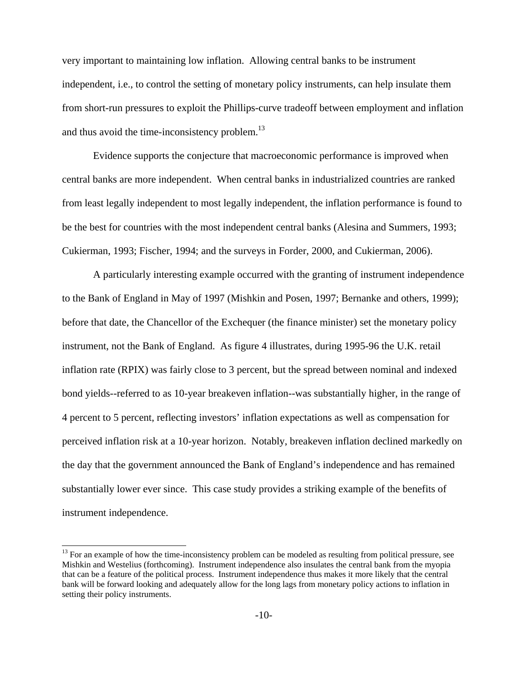very important to maintaining low inflation. Allowing central banks to be instrument independent, i.e., to control the setting of monetary policy instruments, can help insulate them from short-run pressures to exploit the Phillips-curve tradeoff between employment and inflation and thus avoid the time-inconsistency problem.<sup>13</sup>

Evidence supports the conjecture that macroeconomic performance is improved when central banks are more independent. When central banks in industrialized countries are ranked from least legally independent to most legally independent, the inflation performance is found to be the best for countries with the most independent central banks (Alesina and Summers, 1993; Cukierman, 1993; Fischer, 1994; and the surveys in Forder, 2000, and Cukierman, 2006).

A particularly interesting example occurred with the granting of instrument independence to the Bank of England in May of 1997 (Mishkin and Posen, 1997; Bernanke and others, 1999); before that date, the Chancellor of the Exchequer (the finance minister) set the monetary policy instrument, not the Bank of England. As figure 4 illustrates, during 1995-96 the U.K. retail inflation rate (RPIX) was fairly close to 3 percent, but the spread between nominal and indexed bond yields--referred to as 10-year breakeven inflation--was substantially higher, in the range of 4 percent to 5 percent, reflecting investors' inflation expectations as well as compensation for perceived inflation risk at a 10-year horizon. Notably, breakeven inflation declined markedly on the day that the government announced the Bank of England's independence and has remained substantially lower ever since. This case study provides a striking example of the benefits of instrument independence.

 $\overline{\phantom{a}}$ 

 $13$  For an example of how the time-inconsistency problem can be modeled as resulting from political pressure, see Mishkin and Westelius (forthcoming). Instrument independence also insulates the central bank from the myopia that can be a feature of the political process. Instrument independence thus makes it more likely that the central bank will be forward looking and adequately allow for the long lags from monetary policy actions to inflation in setting their policy instruments.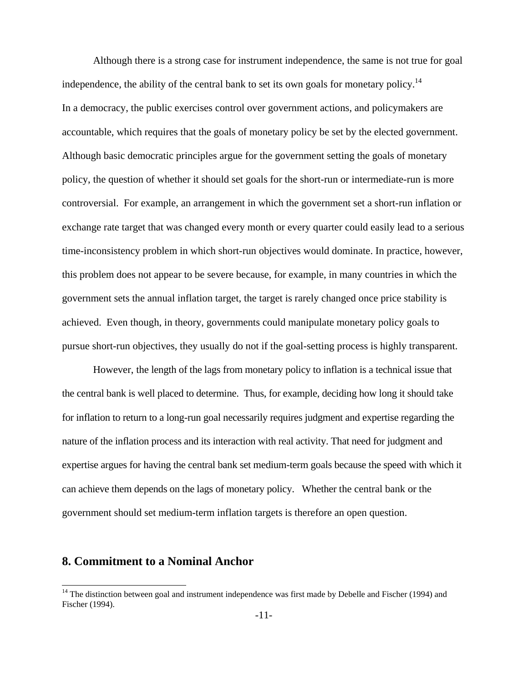Although there is a strong case for instrument independence, the same is not true for goal independence, the ability of the central bank to set its own goals for monetary policy.<sup>14</sup> In a democracy, the public exercises control over government actions, and policymakers are accountable, which requires that the goals of monetary policy be set by the elected government. Although basic democratic principles argue for the government setting the goals of monetary policy, the question of whether it should set goals for the short-run or intermediate-run is more controversial. For example, an arrangement in which the government set a short-run inflation or exchange rate target that was changed every month or every quarter could easily lead to a serious time-inconsistency problem in which short-run objectives would dominate. In practice, however, this problem does not appear to be severe because, for example, in many countries in which the government sets the annual inflation target, the target is rarely changed once price stability is achieved. Even though, in theory, governments could manipulate monetary policy goals to pursue short-run objectives, they usually do not if the goal-setting process is highly transparent.

 However, the length of the lags from monetary policy to inflation is a technical issue that the central bank is well placed to determine. Thus, for example, deciding how long it should take for inflation to return to a long-run goal necessarily requires judgment and expertise regarding the nature of the inflation process and its interaction with real activity. That need for judgment and expertise argues for having the central bank set medium-term goals because the speed with which it can achieve them depends on the lags of monetary policy. Whether the central bank or the government should set medium-term inflation targets is therefore an open question.

## **8. Commitment to a Nominal Anchor**

 $\overline{a}$ 

<sup>&</sup>lt;sup>14</sup> The distinction between goal and instrument independence was first made by Debelle and Fischer (1994) and Fischer (1994).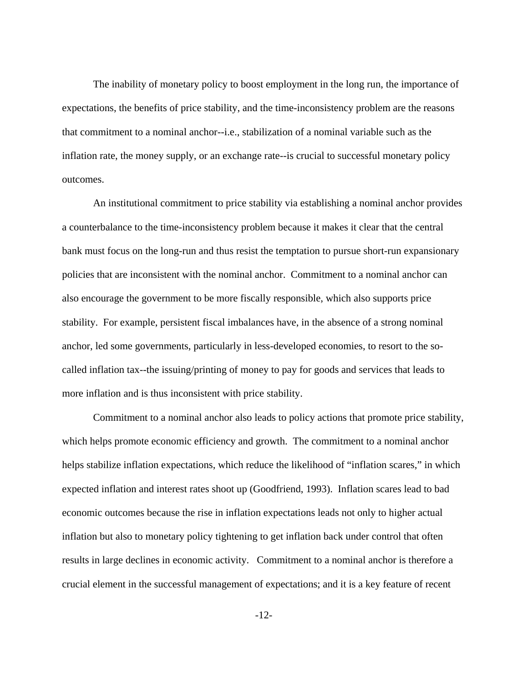The inability of monetary policy to boost employment in the long run, the importance of expectations, the benefits of price stability, and the time-inconsistency problem are the reasons that commitment to a nominal anchor--i.e., stabilization of a nominal variable such as the inflation rate, the money supply, or an exchange rate--is crucial to successful monetary policy outcomes.

 An institutional commitment to price stability via establishing a nominal anchor provides a counterbalance to the time-inconsistency problem because it makes it clear that the central bank must focus on the long-run and thus resist the temptation to pursue short-run expansionary policies that are inconsistent with the nominal anchor. Commitment to a nominal anchor can also encourage the government to be more fiscally responsible, which also supports price stability. For example, persistent fiscal imbalances have, in the absence of a strong nominal anchor, led some governments, particularly in less-developed economies, to resort to the socalled inflation tax--the issuing/printing of money to pay for goods and services that leads to more inflation and is thus inconsistent with price stability.

 Commitment to a nominal anchor also leads to policy actions that promote price stability, which helps promote economic efficiency and growth. The commitment to a nominal anchor helps stabilize inflation expectations, which reduce the likelihood of "inflation scares," in which expected inflation and interest rates shoot up (Goodfriend, 1993). Inflation scares lead to bad economic outcomes because the rise in inflation expectations leads not only to higher actual inflation but also to monetary policy tightening to get inflation back under control that often results in large declines in economic activity. Commitment to a nominal anchor is therefore a crucial element in the successful management of expectations; and it is a key feature of recent

-12-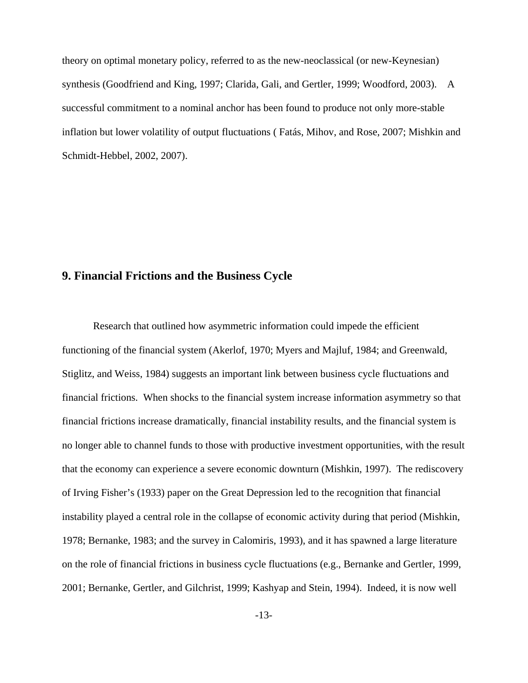theory on optimal monetary policy, referred to as the new-neoclassical (or new-Keynesian) synthesis (Goodfriend and King, 1997; Clarida, Gali, and Gertler, 1999; Woodford, 2003). A successful commitment to a nominal anchor has been found to produce not only more-stable inflation but lower volatility of output fluctuations ( Fatás, Mihov, and Rose, 2007; Mishkin and Schmidt-Hebbel, 2002, 2007).

# **9. Financial Frictions and the Business Cycle**

 Research that outlined how asymmetric information could impede the efficient functioning of the financial system (Akerlof, 1970; Myers and Majluf, 1984; and Greenwald, Stiglitz, and Weiss, 1984) suggests an important link between business cycle fluctuations and financial frictions. When shocks to the financial system increase information asymmetry so that financial frictions increase dramatically, financial instability results, and the financial system is no longer able to channel funds to those with productive investment opportunities, with the result that the economy can experience a severe economic downturn (Mishkin, 1997). The rediscovery of Irving Fisher's (1933) paper on the Great Depression led to the recognition that financial instability played a central role in the collapse of economic activity during that period (Mishkin, 1978; Bernanke, 1983; and the survey in Calomiris, 1993), and it has spawned a large literature on the role of financial frictions in business cycle fluctuations (e.g., Bernanke and Gertler, 1999, 2001; Bernanke, Gertler, and Gilchrist, 1999; Kashyap and Stein, 1994). Indeed, it is now well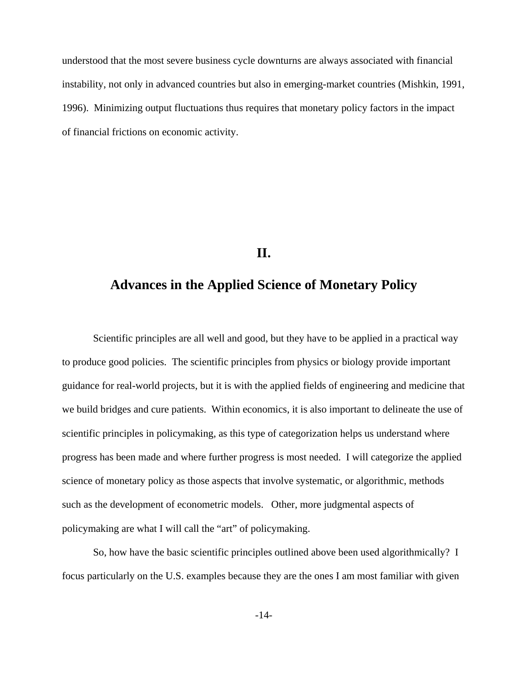understood that the most severe business cycle downturns are always associated with financial instability, not only in advanced countries but also in emerging-market countries (Mishkin, 1991, 1996). Minimizing output fluctuations thus requires that monetary policy factors in the impact of financial frictions on economic activity.

# **II.**

# **Advances in the Applied Science of Monetary Policy**

 Scientific principles are all well and good, but they have to be applied in a practical way to produce good policies. The scientific principles from physics or biology provide important guidance for real-world projects, but it is with the applied fields of engineering and medicine that we build bridges and cure patients. Within economics, it is also important to delineate the use of scientific principles in policymaking, as this type of categorization helps us understand where progress has been made and where further progress is most needed. I will categorize the applied science of monetary policy as those aspects that involve systematic, or algorithmic, methods such as the development of econometric models. Other, more judgmental aspects of policymaking are what I will call the "art" of policymaking.

 So, how have the basic scientific principles outlined above been used algorithmically? I focus particularly on the U.S. examples because they are the ones I am most familiar with given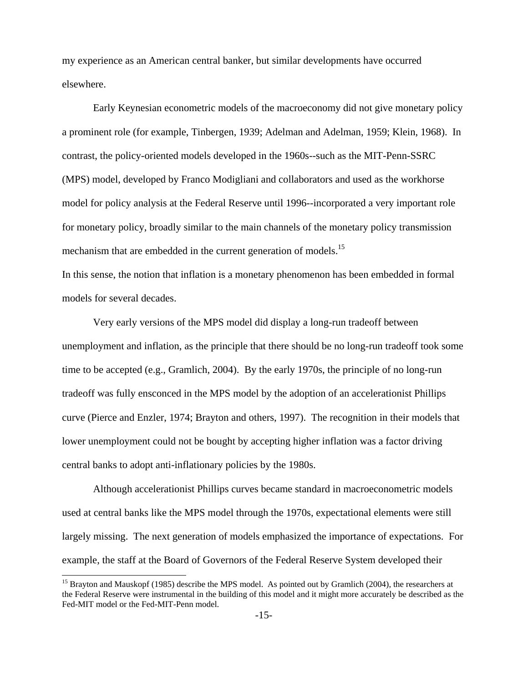my experience as an American central banker, but similar developments have occurred elsewhere.

 Early Keynesian econometric models of the macroeconomy did not give monetary policy a prominent role (for example, Tinbergen, 1939; Adelman and Adelman, 1959; Klein, 1968). In contrast, the policy-oriented models developed in the 1960s--such as the MIT-Penn-SSRC (MPS) model, developed by Franco Modigliani and collaborators and used as the workhorse model for policy analysis at the Federal Reserve until 1996--incorporated a very important role for monetary policy, broadly similar to the main channels of the monetary policy transmission mechanism that are embedded in the current generation of models.<sup>15</sup>

In this sense, the notion that inflation is a monetary phenomenon has been embedded in formal models for several decades.

 Very early versions of the MPS model did display a long-run tradeoff between unemployment and inflation, as the principle that there should be no long-run tradeoff took some time to be accepted (e.g., Gramlich, 2004). By the early 1970s, the principle of no long-run tradeoff was fully ensconced in the MPS model by the adoption of an accelerationist Phillips curve (Pierce and Enzler, 1974; Brayton and others, 1997). The recognition in their models that lower unemployment could not be bought by accepting higher inflation was a factor driving central banks to adopt anti-inflationary policies by the 1980s.

 Although accelerationist Phillips curves became standard in macroeconometric models used at central banks like the MPS model through the 1970s, expectational elements were still largely missing. The next generation of models emphasized the importance of expectations. For example, the staff at the Board of Governors of the Federal Reserve System developed their

 $\overline{\phantom{a}}$ 

<sup>&</sup>lt;sup>15</sup> Brayton and Mauskopf (1985) describe the MPS model. As pointed out by Gramlich (2004), the researchers at the Federal Reserve were instrumental in the building of this model and it might more accurately be described as the Fed-MIT model or the Fed-MIT-Penn model.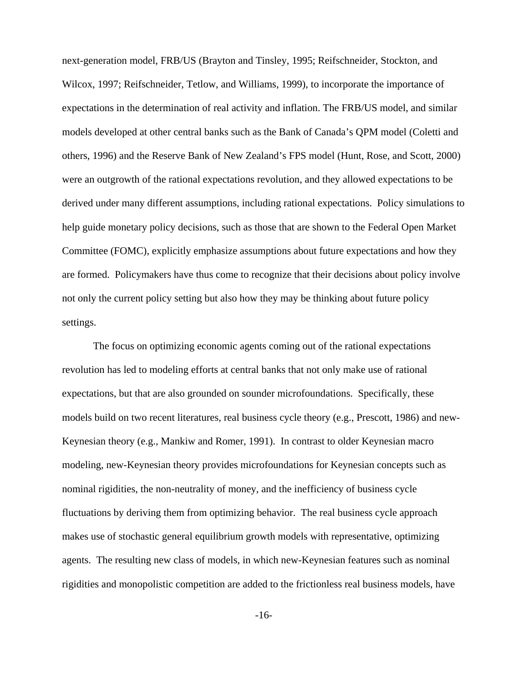next-generation model, FRB/US (Brayton and Tinsley, 1995; Reifschneider, Stockton, and Wilcox, 1997; Reifschneider, Tetlow, and Williams, 1999), to incorporate the importance of expectations in the determination of real activity and inflation. The FRB/US model, and similar models developed at other central banks such as the Bank of Canada's QPM model (Coletti and others, 1996) and the Reserve Bank of New Zealand's FPS model (Hunt, Rose, and Scott, 2000) were an outgrowth of the rational expectations revolution, and they allowed expectations to be derived under many different assumptions, including rational expectations. Policy simulations to help guide monetary policy decisions, such as those that are shown to the Federal Open Market Committee (FOMC), explicitly emphasize assumptions about future expectations and how they are formed. Policymakers have thus come to recognize that their decisions about policy involve not only the current policy setting but also how they may be thinking about future policy settings.

 The focus on optimizing economic agents coming out of the rational expectations revolution has led to modeling efforts at central banks that not only make use of rational expectations, but that are also grounded on sounder microfoundations. Specifically, these models build on two recent literatures, real business cycle theory (e.g., Prescott, 1986) and new-Keynesian theory (e.g., Mankiw and Romer, 1991). In contrast to older Keynesian macro modeling, new-Keynesian theory provides microfoundations for Keynesian concepts such as nominal rigidities, the non-neutrality of money, and the inefficiency of business cycle fluctuations by deriving them from optimizing behavior. The real business cycle approach makes use of stochastic general equilibrium growth models with representative, optimizing agents. The resulting new class of models, in which new-Keynesian features such as nominal rigidities and monopolistic competition are added to the frictionless real business models, have

-16-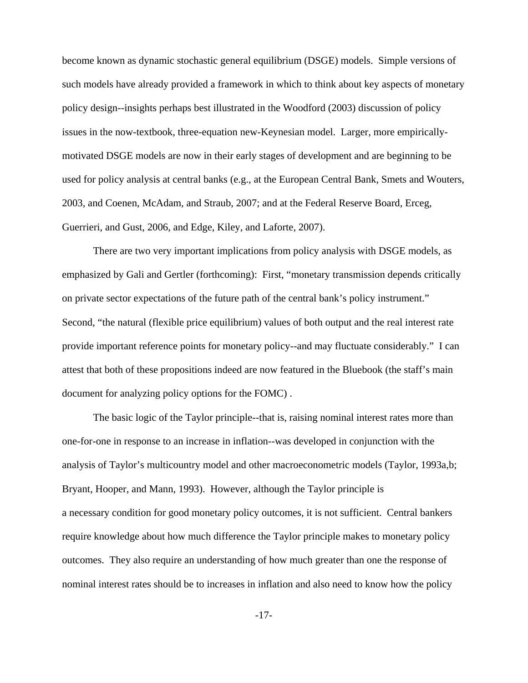become known as dynamic stochastic general equilibrium (DSGE) models. Simple versions of such models have already provided a framework in which to think about key aspects of monetary policy design--insights perhaps best illustrated in the Woodford (2003) discussion of policy issues in the now-textbook, three-equation new-Keynesian model. Larger, more empiricallymotivated DSGE models are now in their early stages of development and are beginning to be used for policy analysis at central banks (e.g., at the European Central Bank, Smets and Wouters, 2003, and Coenen, McAdam, and Straub, 2007; and at the Federal Reserve Board, Erceg, Guerrieri, and Gust, 2006, and Edge, Kiley, and Laforte, 2007).

 There are two very important implications from policy analysis with DSGE models, as emphasized by Gali and Gertler (forthcoming): First, "monetary transmission depends critically on private sector expectations of the future path of the central bank's policy instrument." Second, "the natural (flexible price equilibrium) values of both output and the real interest rate provide important reference points for monetary policy--and may fluctuate considerably." I can attest that both of these propositions indeed are now featured in the Bluebook (the staff's main document for analyzing policy options for the FOMC) .

 The basic logic of the Taylor principle--that is, raising nominal interest rates more than one-for-one in response to an increase in inflation--was developed in conjunction with the analysis of Taylor's multicountry model and other macroeconometric models (Taylor, 1993a,b; Bryant, Hooper, and Mann, 1993). However, although the Taylor principle is a necessary condition for good monetary policy outcomes, it is not sufficient. Central bankers require knowledge about how much difference the Taylor principle makes to monetary policy outcomes. They also require an understanding of how much greater than one the response of nominal interest rates should be to increases in inflation and also need to know how the policy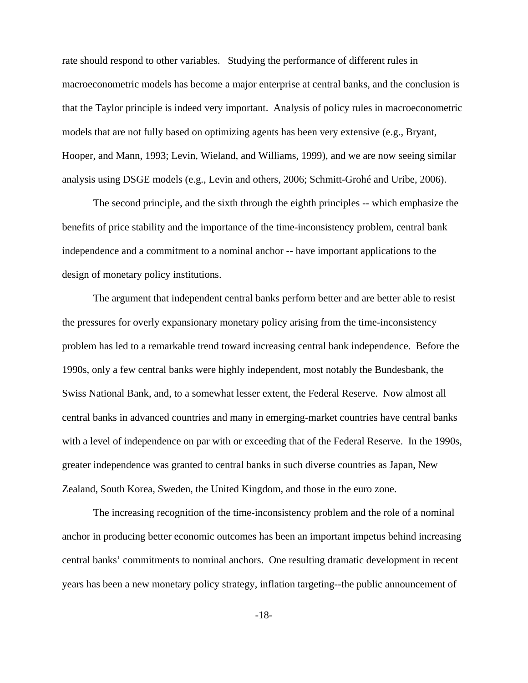rate should respond to other variables. Studying the performance of different rules in macroeconometric models has become a major enterprise at central banks, and the conclusion is that the Taylor principle is indeed very important. Analysis of policy rules in macroeconometric models that are not fully based on optimizing agents has been very extensive (e.g., Bryant, Hooper, and Mann, 1993; Levin, Wieland, and Williams, 1999), and we are now seeing similar analysis using DSGE models (e.g., Levin and others, 2006; Schmitt-Grohé and Uribe, 2006).

 The second principle, and the sixth through the eighth principles -- which emphasize the benefits of price stability and the importance of the time-inconsistency problem, central bank independence and a commitment to a nominal anchor -- have important applications to the design of monetary policy institutions.

 The argument that independent central banks perform better and are better able to resist the pressures for overly expansionary monetary policy arising from the time-inconsistency problem has led to a remarkable trend toward increasing central bank independence. Before the 1990s, only a few central banks were highly independent, most notably the Bundesbank, the Swiss National Bank, and, to a somewhat lesser extent, the Federal Reserve. Now almost all central banks in advanced countries and many in emerging-market countries have central banks with a level of independence on par with or exceeding that of the Federal Reserve. In the 1990s, greater independence was granted to central banks in such diverse countries as Japan, New Zealand, South Korea, Sweden, the United Kingdom, and those in the euro zone.

 The increasing recognition of the time-inconsistency problem and the role of a nominal anchor in producing better economic outcomes has been an important impetus behind increasing central banks' commitments to nominal anchors. One resulting dramatic development in recent years has been a new monetary policy strategy, inflation targeting--the public announcement of

-18-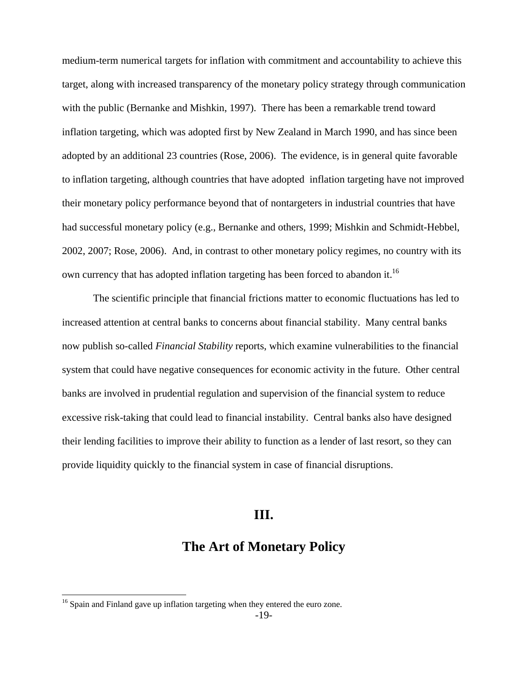medium-term numerical targets for inflation with commitment and accountability to achieve this target, along with increased transparency of the monetary policy strategy through communication with the public (Bernanke and Mishkin, 1997). There has been a remarkable trend toward inflation targeting, which was adopted first by New Zealand in March 1990, and has since been adopted by an additional 23 countries (Rose, 2006). The evidence, is in general quite favorable to inflation targeting, although countries that have adopted inflation targeting have not improved their monetary policy performance beyond that of nontargeters in industrial countries that have had successful monetary policy (e.g., Bernanke and others, 1999; Mishkin and Schmidt-Hebbel, 2002, 2007; Rose, 2006). And, in contrast to other monetary policy regimes, no country with its own currency that has adopted inflation targeting has been forced to abandon it.<sup>16</sup>

 The scientific principle that financial frictions matter to economic fluctuations has led to increased attention at central banks to concerns about financial stability. Many central banks now publish so-called *Financial Stability* reports, which examine vulnerabilities to the financial system that could have negative consequences for economic activity in the future. Other central banks are involved in prudential regulation and supervision of the financial system to reduce excessive risk-taking that could lead to financial instability. Central banks also have designed their lending facilities to improve their ability to function as a lender of last resort, so they can provide liquidity quickly to the financial system in case of financial disruptions.

## **III.**

# **The Art of Monetary Policy**

 $\overline{\phantom{a}}$ 

<sup>&</sup>lt;sup>16</sup> Spain and Finland gave up inflation targeting when they entered the euro zone.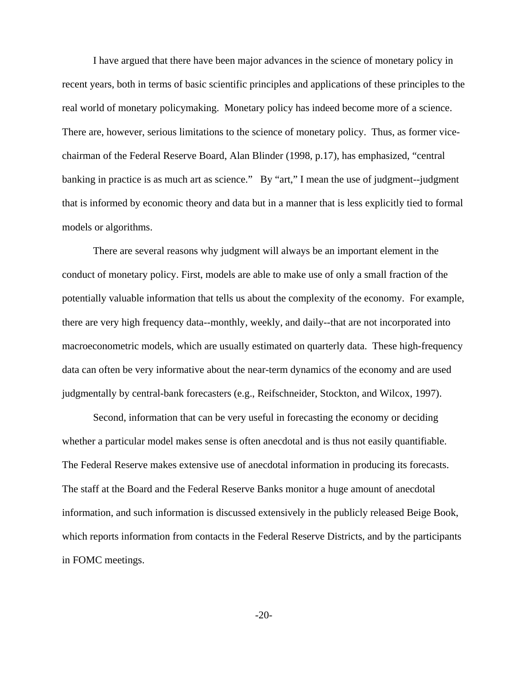I have argued that there have been major advances in the science of monetary policy in recent years, both in terms of basic scientific principles and applications of these principles to the real world of monetary policymaking. Monetary policy has indeed become more of a science. There are, however, serious limitations to the science of monetary policy. Thus, as former vicechairman of the Federal Reserve Board, Alan Blinder (1998, p.17), has emphasized, "central banking in practice is as much art as science." By "art," I mean the use of judgment--judgment that is informed by economic theory and data but in a manner that is less explicitly tied to formal models or algorithms.

 There are several reasons why judgment will always be an important element in the conduct of monetary policy. First, models are able to make use of only a small fraction of the potentially valuable information that tells us about the complexity of the economy. For example, there are very high frequency data--monthly, weekly, and daily--that are not incorporated into macroeconometric models, which are usually estimated on quarterly data. These high-frequency data can often be very informative about the near-term dynamics of the economy and are used judgmentally by central-bank forecasters (e.g., Reifschneider, Stockton, and Wilcox, 1997).

Second, information that can be very useful in forecasting the economy or deciding whether a particular model makes sense is often anecdotal and is thus not easily quantifiable. The Federal Reserve makes extensive use of anecdotal information in producing its forecasts. The staff at the Board and the Federal Reserve Banks monitor a huge amount of anecdotal information, and such information is discussed extensively in the publicly released Beige Book, which reports information from contacts in the Federal Reserve Districts, and by the participants in FOMC meetings.

-20-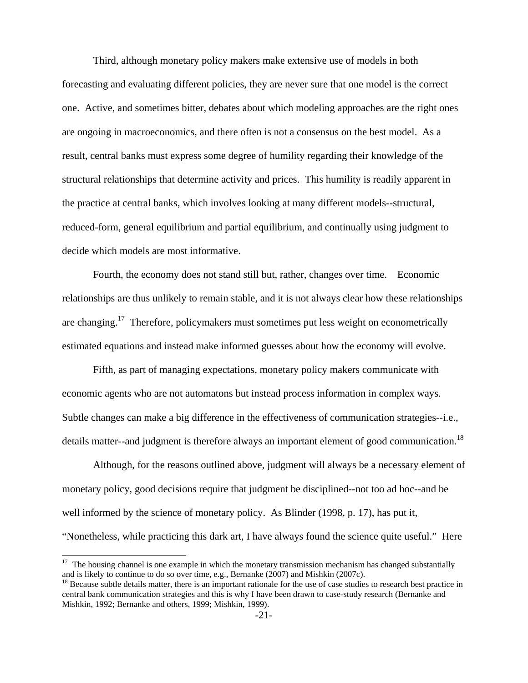Third, although monetary policy makers make extensive use of models in both forecasting and evaluating different policies, they are never sure that one model is the correct one. Active, and sometimes bitter, debates about which modeling approaches are the right ones are ongoing in macroeconomics, and there often is not a consensus on the best model. As a result, central banks must express some degree of humility regarding their knowledge of the structural relationships that determine activity and prices. This humility is readily apparent in the practice at central banks, which involves looking at many different models--structural, reduced-form, general equilibrium and partial equilibrium, and continually using judgment to decide which models are most informative.

Fourth, the economy does not stand still but, rather, changes over time. Economic relationships are thus unlikely to remain stable, and it is not always clear how these relationships are changing.<sup>17</sup> Therefore, policymakers must sometimes put less weight on econometrically estimated equations and instead make informed guesses about how the economy will evolve.

Fifth, as part of managing expectations, monetary policy makers communicate with economic agents who are not automatons but instead process information in complex ways. Subtle changes can make a big difference in the effectiveness of communication strategies--i.e., details matter--and judgment is therefore always an important element of good communication.<sup>18</sup>

 Although, for the reasons outlined above, judgment will always be a necessary element of monetary policy, good decisions require that judgment be disciplined--not too ad hoc--and be well informed by the science of monetary policy. As Blinder (1998, p. 17), has put it, "Nonetheless, while practicing this dark art, I have always found the science quite useful." Here

 $\overline{a}$ 

<sup>&</sup>lt;sup>17</sup> The housing channel is one example in which the monetary transmission mechanism has changed substantially and is likely to continue to do so over time, e.g., Bernanke (2007) and Mishkin (2007c).

<sup>&</sup>lt;sup>18</sup> Because subtle details matter, there is an important rationale for the use of case studies to research best practice in central bank communication strategies and this is why I have been drawn to case-study research (Bernanke and Mishkin, 1992; Bernanke and others, 1999; Mishkin, 1999).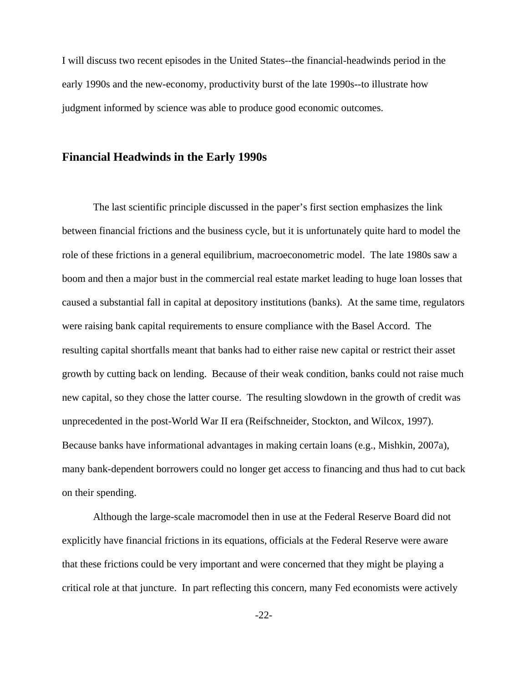I will discuss two recent episodes in the United States--the financial-headwinds period in the early 1990s and the new-economy, productivity burst of the late 1990s--to illustrate how judgment informed by science was able to produce good economic outcomes.

#### **Financial Headwinds in the Early 1990s**

 The last scientific principle discussed in the paper's first section emphasizes the link between financial frictions and the business cycle, but it is unfortunately quite hard to model the role of these frictions in a general equilibrium, macroeconometric model. The late 1980s saw a boom and then a major bust in the commercial real estate market leading to huge loan losses that caused a substantial fall in capital at depository institutions (banks). At the same time, regulators were raising bank capital requirements to ensure compliance with the Basel Accord. The resulting capital shortfalls meant that banks had to either raise new capital or restrict their asset growth by cutting back on lending. Because of their weak condition, banks could not raise much new capital, so they chose the latter course. The resulting slowdown in the growth of credit was unprecedented in the post-World War II era (Reifschneider, Stockton, and Wilcox, 1997). Because banks have informational advantages in making certain loans (e.g., Mishkin, 2007a), many bank-dependent borrowers could no longer get access to financing and thus had to cut back on their spending.

 Although the large-scale macromodel then in use at the Federal Reserve Board did not explicitly have financial frictions in its equations, officials at the Federal Reserve were aware that these frictions could be very important and were concerned that they might be playing a critical role at that juncture. In part reflecting this concern, many Fed economists were actively

-22-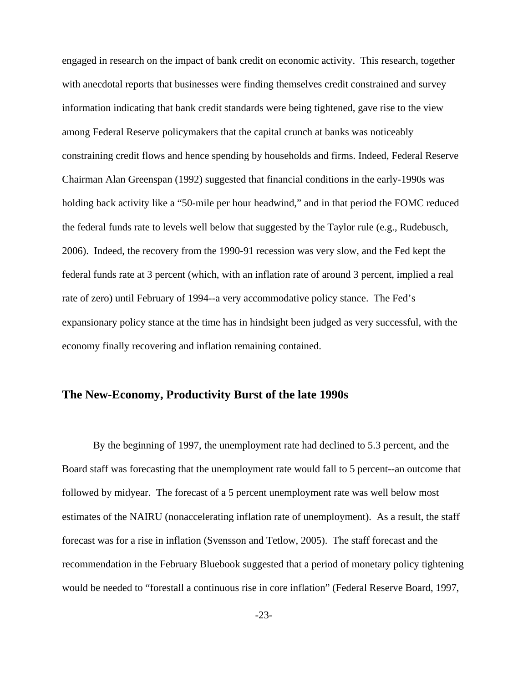engaged in research on the impact of bank credit on economic activity. This research, together with anecdotal reports that businesses were finding themselves credit constrained and survey information indicating that bank credit standards were being tightened, gave rise to the view among Federal Reserve policymakers that the capital crunch at banks was noticeably constraining credit flows and hence spending by households and firms. Indeed, Federal Reserve Chairman Alan Greenspan (1992) suggested that financial conditions in the early-1990s was holding back activity like a "50-mile per hour headwind," and in that period the FOMC reduced the federal funds rate to levels well below that suggested by the Taylor rule (e.g., Rudebusch, 2006). Indeed, the recovery from the 1990-91 recession was very slow, and the Fed kept the federal funds rate at 3 percent (which, with an inflation rate of around 3 percent, implied a real rate of zero) until February of 1994--a very accommodative policy stance. The Fed's expansionary policy stance at the time has in hindsight been judged as very successful, with the economy finally recovering and inflation remaining contained.

#### **The New-Economy, Productivity Burst of the late 1990s**

 By the beginning of 1997, the unemployment rate had declined to 5.3 percent, and the Board staff was forecasting that the unemployment rate would fall to 5 percent--an outcome that followed by midyear. The forecast of a 5 percent unemployment rate was well below most estimates of the NAIRU (nonaccelerating inflation rate of unemployment). As a result, the staff forecast was for a rise in inflation (Svensson and Tetlow, 2005). The staff forecast and the recommendation in the February Bluebook suggested that a period of monetary policy tightening would be needed to "forestall a continuous rise in core inflation" (Federal Reserve Board, 1997,

-23-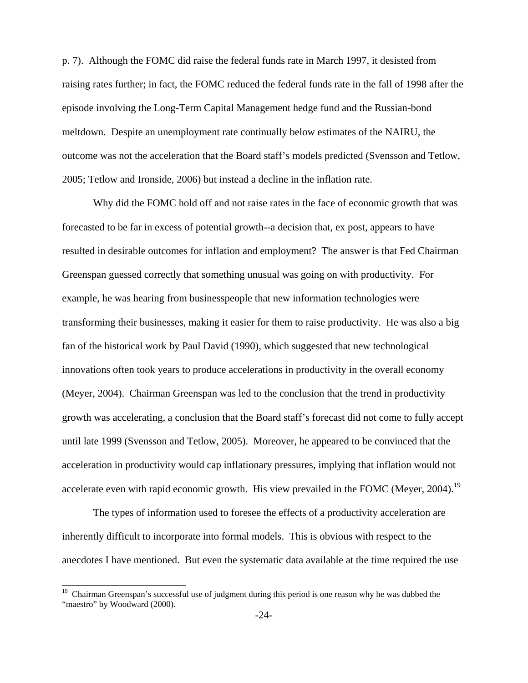p. 7). Although the FOMC did raise the federal funds rate in March 1997, it desisted from raising rates further; in fact, the FOMC reduced the federal funds rate in the fall of 1998 after the episode involving the Long-Term Capital Management hedge fund and the Russian-bond meltdown. Despite an unemployment rate continually below estimates of the NAIRU, the outcome was not the acceleration that the Board staff's models predicted (Svensson and Tetlow, 2005; Tetlow and Ironside, 2006) but instead a decline in the inflation rate.

 Why did the FOMC hold off and not raise rates in the face of economic growth that was forecasted to be far in excess of potential growth--a decision that, ex post, appears to have resulted in desirable outcomes for inflation and employment? The answer is that Fed Chairman Greenspan guessed correctly that something unusual was going on with productivity. For example, he was hearing from businesspeople that new information technologies were transforming their businesses, making it easier for them to raise productivity. He was also a big fan of the historical work by Paul David (1990), which suggested that new technological innovations often took years to produce accelerations in productivity in the overall economy (Meyer, 2004). Chairman Greenspan was led to the conclusion that the trend in productivity growth was accelerating, a conclusion that the Board staff's forecast did not come to fully accept until late 1999 (Svensson and Tetlow, 2005). Moreover, he appeared to be convinced that the acceleration in productivity would cap inflationary pressures, implying that inflation would not accelerate even with rapid economic growth. His view prevailed in the FOMC (Meyer, 2004).<sup>19</sup>

 The types of information used to foresee the effects of a productivity acceleration are inherently difficult to incorporate into formal models. This is obvious with respect to the anecdotes I have mentioned. But even the systematic data available at the time required the use

 $\overline{a}$ 

 $19$  Chairman Greenspan's successful use of judgment during this period is one reason why he was dubbed the "maestro" by Woodward (2000).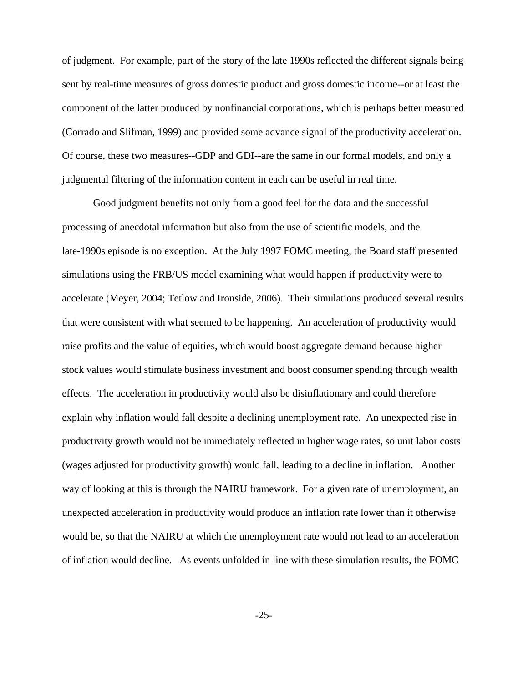of judgment. For example, part of the story of the late 1990s reflected the different signals being sent by real-time measures of gross domestic product and gross domestic income--or at least the component of the latter produced by nonfinancial corporations, which is perhaps better measured (Corrado and Slifman, 1999) and provided some advance signal of the productivity acceleration. Of course, these two measures--GDP and GDI--are the same in our formal models, and only a judgmental filtering of the information content in each can be useful in real time.

 Good judgment benefits not only from a good feel for the data and the successful processing of anecdotal information but also from the use of scientific models, and the late-1990s episode is no exception. At the July 1997 FOMC meeting, the Board staff presented simulations using the FRB/US model examining what would happen if productivity were to accelerate (Meyer, 2004; Tetlow and Ironside, 2006). Their simulations produced several results that were consistent with what seemed to be happening. An acceleration of productivity would raise profits and the value of equities, which would boost aggregate demand because higher stock values would stimulate business investment and boost consumer spending through wealth effects. The acceleration in productivity would also be disinflationary and could therefore explain why inflation would fall despite a declining unemployment rate. An unexpected rise in productivity growth would not be immediately reflected in higher wage rates, so unit labor costs (wages adjusted for productivity growth) would fall, leading to a decline in inflation. Another way of looking at this is through the NAIRU framework. For a given rate of unemployment, an unexpected acceleration in productivity would produce an inflation rate lower than it otherwise would be, so that the NAIRU at which the unemployment rate would not lead to an acceleration of inflation would decline. As events unfolded in line with these simulation results, the FOMC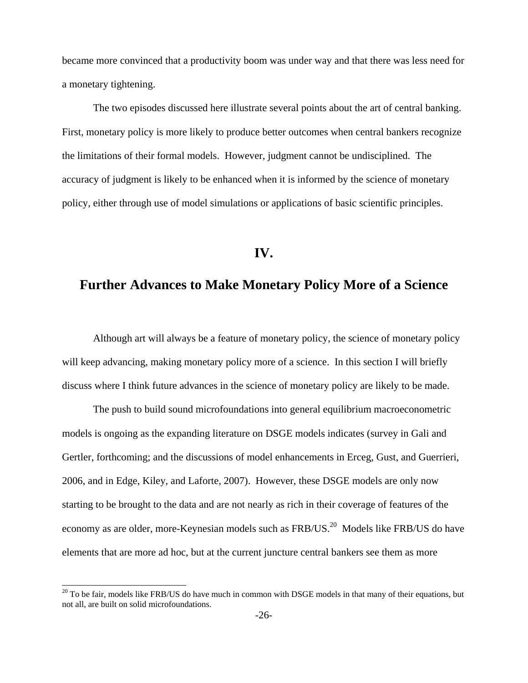became more convinced that a productivity boom was under way and that there was less need for a monetary tightening.

 The two episodes discussed here illustrate several points about the art of central banking. First, monetary policy is more likely to produce better outcomes when central bankers recognize the limitations of their formal models. However, judgment cannot be undisciplined. The accuracy of judgment is likely to be enhanced when it is informed by the science of monetary policy, either through use of model simulations or applications of basic scientific principles.

# **IV.**

# **Further Advances to Make Monetary Policy More of a Science**

 Although art will always be a feature of monetary policy, the science of monetary policy will keep advancing, making monetary policy more of a science. In this section I will briefly discuss where I think future advances in the science of monetary policy are likely to be made.

 The push to build sound microfoundations into general equilibrium macroeconometric models is ongoing as the expanding literature on DSGE models indicates (survey in Gali and Gertler, forthcoming; and the discussions of model enhancements in Erceg, Gust, and Guerrieri, 2006, and in Edge, Kiley, and Laforte, 2007). However, these DSGE models are only now starting to be brought to the data and are not nearly as rich in their coverage of features of the economy as are older, more-Keynesian models such as FRB/US.<sup>20</sup> Models like FRB/US do have elements that are more ad hoc, but at the current juncture central bankers see them as more

 $\overline{a}$ 

 $20$  To be fair, models like FRB/US do have much in common with DSGE models in that many of their equations, but not all, are built on solid microfoundations.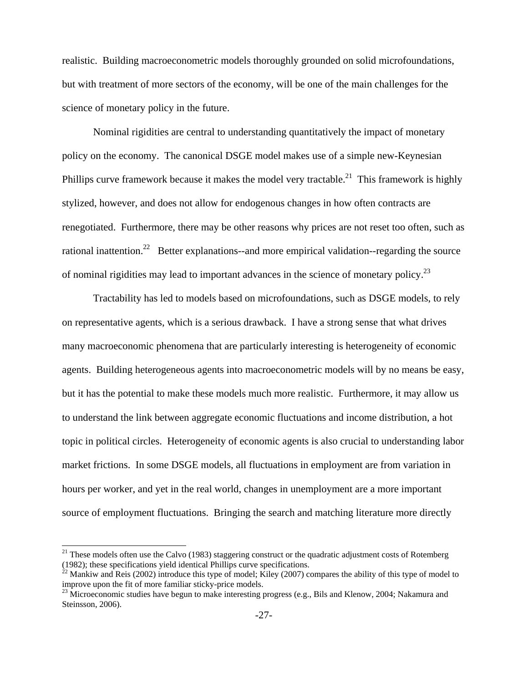realistic. Building macroeconometric models thoroughly grounded on solid microfoundations, but with treatment of more sectors of the economy, will be one of the main challenges for the science of monetary policy in the future.

 Nominal rigidities are central to understanding quantitatively the impact of monetary policy on the economy. The canonical DSGE model makes use of a simple new-Keynesian Phillips curve framework because it makes the model very tractable.<sup>21</sup> This framework is highly stylized, however, and does not allow for endogenous changes in how often contracts are renegotiated. Furthermore, there may be other reasons why prices are not reset too often, such as rational inattention.<sup>22</sup> Better explanations--and more empirical validation--regarding the source of nominal rigidities may lead to important advances in the science of monetary policy. $^{23}$ 

 Tractability has led to models based on microfoundations, such as DSGE models, to rely on representative agents, which is a serious drawback. I have a strong sense that what drives many macroeconomic phenomena that are particularly interesting is heterogeneity of economic agents. Building heterogeneous agents into macroeconometric models will by no means be easy, but it has the potential to make these models much more realistic. Furthermore, it may allow us to understand the link between aggregate economic fluctuations and income distribution, a hot topic in political circles. Heterogeneity of economic agents is also crucial to understanding labor market frictions. In some DSGE models, all fluctuations in employment are from variation in hours per worker, and yet in the real world, changes in unemployment are a more important source of employment fluctuations. Bringing the search and matching literature more directly

 $\overline{a}$ 

 $21$  These models often use the Calvo (1983) staggering construct or the quadratic adjustment costs of Rotemberg (1982); these specifications yield identical Phillips curve specifications.

 $^{22}$  Mankiw and Reis (2002) introduce this type of model; Kiley (2007) compares the ability of this type of model to improve upon the fit of more familiar sticky-price models.

 $^{23}$  Microeconomic studies have begun to make interesting progress (e.g., Bils and Klenow, 2004; Nakamura and Steinsson, 2006).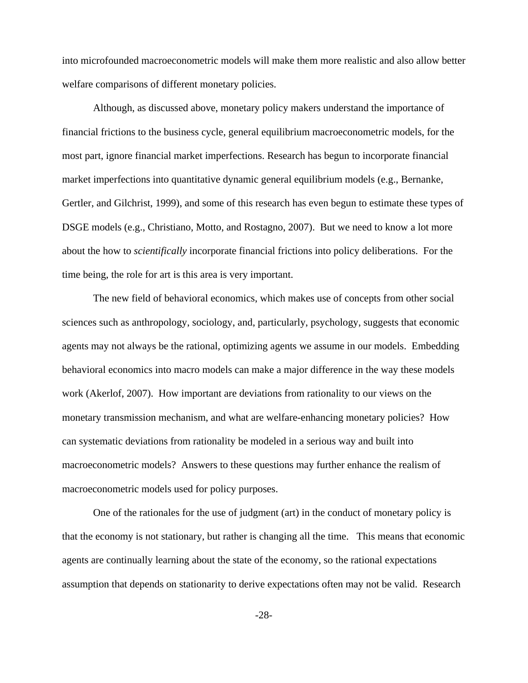into microfounded macroeconometric models will make them more realistic and also allow better welfare comparisons of different monetary policies.

 Although, as discussed above, monetary policy makers understand the importance of financial frictions to the business cycle, general equilibrium macroeconometric models, for the most part, ignore financial market imperfections. Research has begun to incorporate financial market imperfections into quantitative dynamic general equilibrium models (e.g., Bernanke, Gertler, and Gilchrist, 1999), and some of this research has even begun to estimate these types of DSGE models (e.g., Christiano, Motto, and Rostagno, 2007). But we need to know a lot more about the how to *scientifically* incorporate financial frictions into policy deliberations. For the time being, the role for art is this area is very important.

 The new field of behavioral economics, which makes use of concepts from other social sciences such as anthropology, sociology, and, particularly, psychology, suggests that economic agents may not always be the rational, optimizing agents we assume in our models. Embedding behavioral economics into macro models can make a major difference in the way these models work (Akerlof, 2007). How important are deviations from rationality to our views on the monetary transmission mechanism, and what are welfare-enhancing monetary policies? How can systematic deviations from rationality be modeled in a serious way and built into macroeconometric models? Answers to these questions may further enhance the realism of macroeconometric models used for policy purposes.

 One of the rationales for the use of judgment (art) in the conduct of monetary policy is that the economy is not stationary, but rather is changing all the time. This means that economic agents are continually learning about the state of the economy, so the rational expectations assumption that depends on stationarity to derive expectations often may not be valid. Research

-28-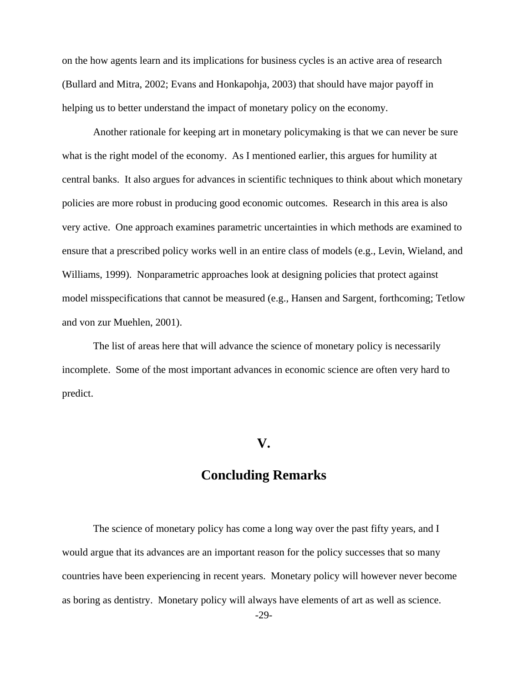on the how agents learn and its implications for business cycles is an active area of research (Bullard and Mitra, 2002; Evans and Honkapohja, 2003) that should have major payoff in helping us to better understand the impact of monetary policy on the economy.

 Another rationale for keeping art in monetary policymaking is that we can never be sure what is the right model of the economy. As I mentioned earlier, this argues for humility at central banks. It also argues for advances in scientific techniques to think about which monetary policies are more robust in producing good economic outcomes. Research in this area is also very active. One approach examines parametric uncertainties in which methods are examined to ensure that a prescribed policy works well in an entire class of models (e.g., Levin, Wieland, and Williams, 1999). Nonparametric approaches look at designing policies that protect against model misspecifications that cannot be measured (e.g., Hansen and Sargent, forthcoming; Tetlow and von zur Muehlen, 2001).

 The list of areas here that will advance the science of monetary policy is necessarily incomplete. Some of the most important advances in economic science are often very hard to predict.

## **V.**

# **Concluding Remarks**

 The science of monetary policy has come a long way over the past fifty years, and I would argue that its advances are an important reason for the policy successes that so many countries have been experiencing in recent years. Monetary policy will however never become as boring as dentistry. Monetary policy will always have elements of art as well as science.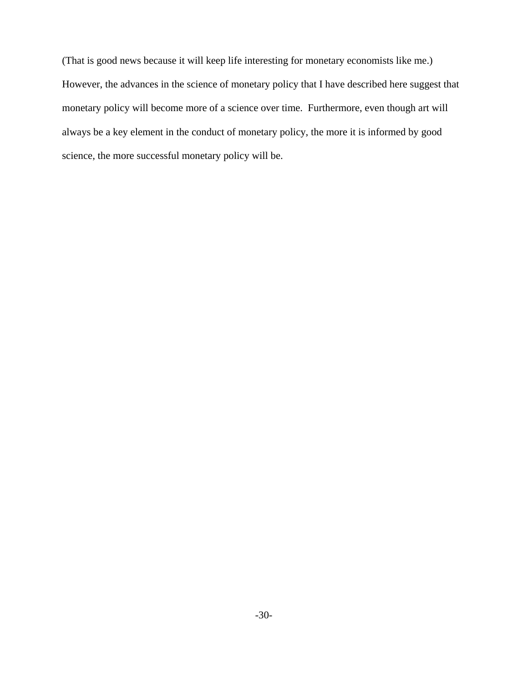(That is good news because it will keep life interesting for monetary economists like me.) However, the advances in the science of monetary policy that I have described here suggest that monetary policy will become more of a science over time. Furthermore, even though art will always be a key element in the conduct of monetary policy, the more it is informed by good science, the more successful monetary policy will be.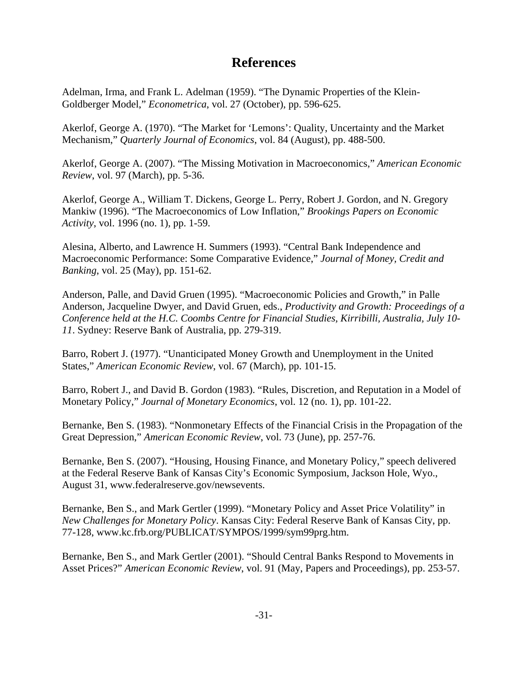# **References**

Adelman, Irma, and Frank L. Adelman (1959). "The Dynamic Properties of the Klein-Goldberger Model," *Econometrica*, vol. 27 (October), pp. 596-625.

Akerlof, George A. (1970). "The Market for 'Lemons': Quality, Uncertainty and the Market Mechanism," *Quarterly Journal of Economics*, vol. 84 (August), pp. 488-500.

Akerlof, George A. (2007). "The Missing Motivation in Macroeconomics," *American Economic Review*, vol. 97 (March), pp. 5-36.

Akerlof, George A., William T. Dickens, George L. Perry, Robert J. Gordon, and N. Gregory Mankiw (1996). "The Macroeconomics of Low Inflation," *Brookings Papers on Economic Activity*, vol. 1996 (no. 1), pp. 1-59.

Alesina, Alberto, and Lawrence H. Summers (1993). "Central Bank Independence and Macroeconomic Performance: Some Comparative Evidence," *Journal of Money, Credit and Banking*, vol. 25 (May), pp. 151-62.

Anderson, Palle, and David Gruen (1995). "Macroeconomic Policies and Growth," in Palle Anderson, Jacqueline Dwyer, and David Gruen, eds., *Productivity and Growth: Proceedings of a Conference held at the H.C. Coombs Centre for Financial Studies, Kirribilli, Australia, July 10- 11*. Sydney: Reserve Bank of Australia, pp. 279-319.

Barro, Robert J. (1977). "Unanticipated Money Growth and Unemployment in the United States," *American Economic Review*, vol. 67 (March), pp. 101-15.

Barro, Robert J., and David B. Gordon (1983). "Rules, Discretion, and Reputation in a Model of Monetary Policy," *Journal of Monetary Economics*, vol. 12 (no. 1), pp. 101-22.

Bernanke, Ben S. (1983). "Nonmonetary Effects of the Financial Crisis in the Propagation of the Great Depression," *American Economic Review*, vol. 73 (June), pp. 257-76.

Bernanke, Ben S. (2007). "Housing, Housing Finance, and Monetary Policy," speech delivered at the Federal Reserve Bank of Kansas City's Economic Symposium, Jackson Hole, Wyo., August 31, www.federalreserve.gov/newsevents.

Bernanke, Ben S., and Mark Gertler (1999). "Monetary Policy and Asset Price Volatility" in *New Challenges for Monetary Policy*. Kansas City: Federal Reserve Bank of Kansas City, pp. 77-128, www.kc.frb.org/PUBLICAT/SYMPOS/1999/sym99prg.htm.

Bernanke, Ben S., and Mark Gertler (2001). "Should Central Banks Respond to Movements in Asset Prices?" *American Economic Review*, vol. 91 (May, Papers and Proceedings), pp. 253-57.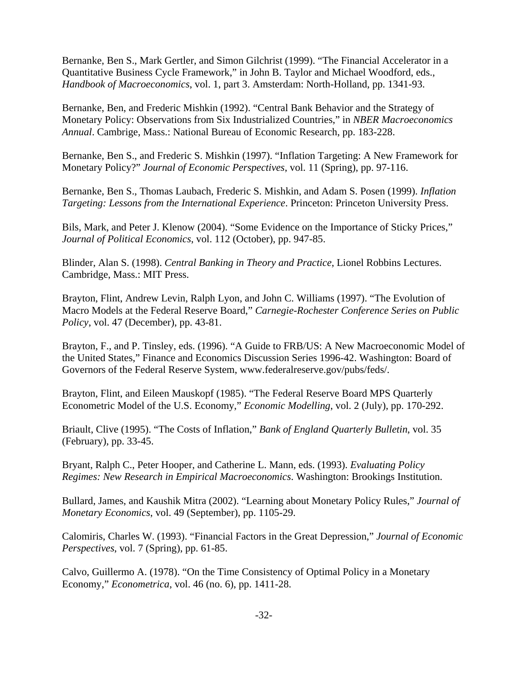Bernanke, Ben S., Mark Gertler, and Simon Gilchrist (1999). "The Financial Accelerator in a Quantitative Business Cycle Framework," in John B. Taylor and Michael Woodford, eds., *Handbook of Macroeconomics*, vol. 1, part 3. Amsterdam: North-Holland, pp. 1341-93.

Bernanke, Ben, and Frederic Mishkin (1992). "Central Bank Behavior and the Strategy of Monetary Policy: Observations from Six Industrialized Countries," in *NBER Macroeconomics Annual*. Cambrige, Mass.: National Bureau of Economic Research, pp. 183-228.

Bernanke, Ben S., and Frederic S. Mishkin (1997). "Inflation Targeting: A New Framework for Monetary Policy?" *Journal of Economic Perspectives*, vol. 11 (Spring), pp. 97-116.

Bernanke, Ben S., Thomas Laubach, Frederic S. Mishkin, and Adam S. Posen (1999). *Inflation Targeting: Lessons from the International Experience*. Princeton: Princeton University Press.

Bils, Mark, and Peter J. Klenow (2004). "Some Evidence on the Importance of Sticky Prices," *Journal of Political Economics*, vol. 112 (October), pp. 947-85.

Blinder, Alan S. (1998). *Central Banking in Theory and Practice*, Lionel Robbins Lectures. Cambridge, Mass.: MIT Press.

Brayton, Flint, Andrew Levin, Ralph Lyon, and John C. Williams (1997). "The Evolution of Macro Models at the Federal Reserve Board," *Carnegie-Rochester Conference Series on Public Policy*, vol. 47 (December), pp. 43-81.

Brayton, F., and P. Tinsley, eds. (1996). "A Guide to FRB/US: A New Macroeconomic Model of the United States," Finance and Economics Discussion Series 1996-42. Washington: Board of Governors of the Federal Reserve System, www.federalreserve.gov/pubs/feds/.

Brayton, Flint, and Eileen Mauskopf (1985). "The Federal Reserve Board MPS Quarterly Econometric Model of the U.S. Economy," *Economic Modelling*, vol. 2 (July), pp. 170-292.

Briault, Clive (1995). "The Costs of Inflation," *Bank of England Quarterly Bulletin*, vol. 35 (February), pp. 33-45.

Bryant, Ralph C., Peter Hooper, and Catherine L. Mann, eds. (1993). *Evaluating Policy Regimes: New Research in Empirical Macroeconomics*. Washington: Brookings Institution.

Bullard, James, and Kaushik Mitra (2002). "Learning about Monetary Policy Rules," *Journal of Monetary Economics*, vol. 49 (September), pp. 1105-29.

Calomiris, Charles W. (1993). "Financial Factors in the Great Depression," *Journal of Economic Perspectives*, vol. 7 (Spring), pp. 61-85.

Calvo, Guillermo A. (1978). "On the Time Consistency of Optimal Policy in a Monetary Economy," *Econometrica*, vol. 46 (no. 6), pp. 1411-28.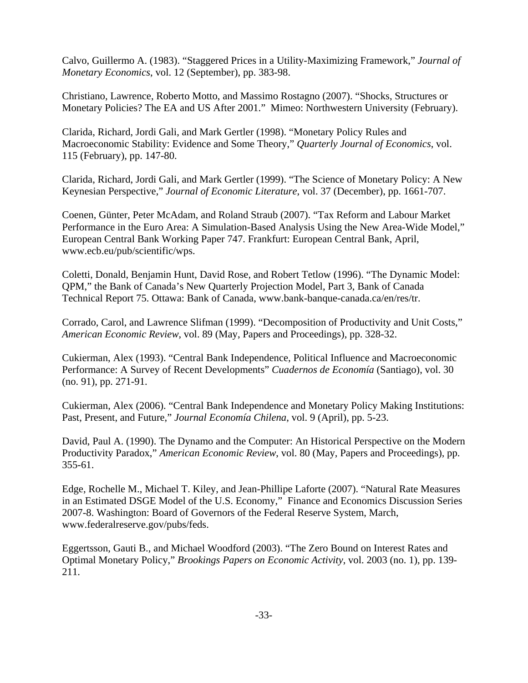Calvo, Guillermo A. (1983). "Staggered Prices in a Utility-Maximizing Framework," *Journal of Monetary Economics*, vol. 12 (September), pp. 383-98.

Christiano, Lawrence, Roberto Motto, and Massimo Rostagno (2007). "Shocks, Structures or Monetary Policies? The EA and US After 2001." Mimeo: Northwestern University (February).

Clarida, Richard, Jordi Gali, and Mark Gertler (1998). "Monetary Policy Rules and Macroeconomic Stability: Evidence and Some Theory," *Quarterly Journal of Economics*, vol. 115 (February), pp. 147-80.

Clarida, Richard, Jordi Gali, and Mark Gertler (1999). "The Science of Monetary Policy: A New Keynesian Perspective," *Journal of Economic Literature*, vol. 37 (December), pp. 1661-707.

Coenen, Günter, Peter McAdam, and Roland Straub (2007). "Tax Reform and Labour Market Performance in the Euro Area: A Simulation-Based Analysis Using the New Area-Wide Model," European Central Bank Working Paper 747. Frankfurt: European Central Bank, April, www.ecb.eu/pub/scientific/wps.

Coletti, Donald, Benjamin Hunt, David Rose, and Robert Tetlow (1996). "The Dynamic Model: QPM," the Bank of Canada's New Quarterly Projection Model, Part 3, Bank of Canada Technical Report 75. Ottawa: Bank of Canada, www.bank-banque-canada.ca/en/res/tr.

Corrado, Carol, and Lawrence Slifman (1999). "Decomposition of Productivity and Unit Costs," *American Economic Review*, vol. 89 (May, Papers and Proceedings), pp. 328-32.

Cukierman, Alex (1993). "Central Bank Independence, Political Influence and Macroeconomic Performance: A Survey of Recent Developments" *Cuadernos de Economía* (Santiago), vol. 30 (no. 91), pp. 271-91.

Cukierman, Alex (2006). "Central Bank Independence and Monetary Policy Making Institutions: Past, Present, and Future," *Journal Economía Chilena*, vol. 9 (April), pp. 5-23.

David, Paul A. (1990). The Dynamo and the Computer: An Historical Perspective on the Modern Productivity Paradox," *American Economic Review*, vol. 80 (May, Papers and Proceedings), pp. 355-61.

Edge, Rochelle M., Michael T. Kiley, and Jean-Phillipe Laforte (2007). "Natural Rate Measures in an Estimated DSGE Model of the U.S. Economy," Finance and Economics Discussion Series 2007-8. Washington: Board of Governors of the Federal Reserve System, March, www.federalreserve.gov/pubs/feds.

Eggertsson, Gauti B., and Michael Woodford (2003). "The Zero Bound on Interest Rates and Optimal Monetary Policy," *Brookings Papers on Economic Activity*, vol. 2003 (no. 1), pp. 139- 211.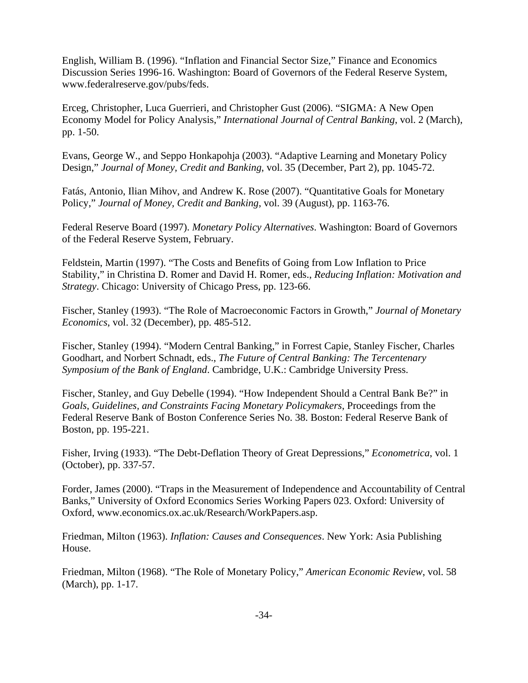English, William B. (1996). "Inflation and Financial Sector Size," Finance and Economics Discussion Series 1996-16. Washington: Board of Governors of the Federal Reserve System, www.federalreserve.gov/pubs/feds.

Erceg, Christopher, Luca Guerrieri, and Christopher Gust (2006). "SIGMA: A New Open Economy Model for Policy Analysis," *International Journal of Central Banking*, vol. 2 (March), pp. 1-50.

Evans, George W., and Seppo Honkapohja (2003). "Adaptive Learning and Monetary Policy Design," *Journal of Money, Credit and Banking*, vol. 35 (December, Part 2), pp. 1045-72.

Fatás, Antonio, Ilian Mihov, and Andrew K. Rose (2007). "Quantitative Goals for Monetary Policy," *Journal of Money, Credit and Banking*, vol. 39 (August), pp. 1163-76.

Federal Reserve Board (1997). *Monetary Policy Alternatives*. Washington: Board of Governors of the Federal Reserve System, February.

Feldstein, Martin (1997). "The Costs and Benefits of Going from Low Inflation to Price Stability," in Christina D. Romer and David H. Romer, eds., *Reducing Inflation: Motivation and Strategy*. Chicago: University of Chicago Press, pp. 123-66.

Fischer, Stanley (1993). "The Role of Macroeconomic Factors in Growth," *Journal of Monetary Economics*, vol. 32 (December), pp. 485-512.

Fischer, Stanley (1994). "Modern Central Banking," in Forrest Capie, Stanley Fischer, Charles Goodhart, and Norbert Schnadt, eds., *The Future of Central Banking: The Tercentenary Symposium of the Bank of England*. Cambridge, U.K.: Cambridge University Press.

Fischer, Stanley, and Guy Debelle (1994). "How Independent Should a Central Bank Be?" in *Goals, Guidelines, and Constraints Facing Monetary Policymakers*, Proceedings from the Federal Reserve Bank of Boston Conference Series No. 38. Boston: Federal Reserve Bank of Boston, pp. 195-221.

Fisher, Irving (1933). "The Debt-Deflation Theory of Great Depressions," *Econometrica*, vol. 1 (October), pp. 337-57.

Forder, James (2000). "Traps in the Measurement of Independence and Accountability of Central Banks," University of Oxford Economics Series Working Papers 023. Oxford: University of Oxford, www.economics.ox.ac.uk/Research/WorkPapers.asp.

Friedman, Milton (1963). *Inflation: Causes and Consequences*. New York: Asia Publishing House.

Friedman, Milton (1968). "The Role of Monetary Policy," *American Economic Review*, vol. 58 (March), pp. 1-17.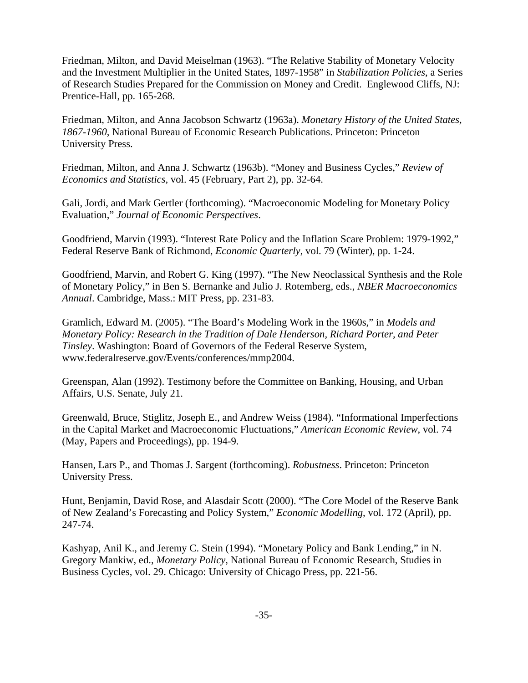Friedman, Milton, and David Meiselman (1963). "The Relative Stability of Monetary Velocity and the Investment Multiplier in the United States, 1897-1958" in *Stabilization Policies*, a Series of Research Studies Prepared for the Commission on Money and Credit. Englewood Cliffs, NJ: Prentice-Hall, pp. 165-268.

Friedman, Milton, and Anna Jacobson Schwartz (1963a). *Monetary History of the United States, 1867-1960*, National Bureau of Economic Research Publications. Princeton: Princeton University Press.

Friedman, Milton, and Anna J. Schwartz (1963b). "Money and Business Cycles," *Review of Economics and Statistics,* vol. 45 (February, Part 2), pp. 32-64.

Gali, Jordi, and Mark Gertler (forthcoming). "Macroeconomic Modeling for Monetary Policy Evaluation," *Journal of Economic Perspectives*.

Goodfriend, Marvin (1993). "Interest Rate Policy and the Inflation Scare Problem: 1979-1992," Federal Reserve Bank of Richmond, *Economic Quarterly*, vol. 79 (Winter), pp. 1-24.

Goodfriend, Marvin, and Robert G. King (1997). "The New Neoclassical Synthesis and the Role of Monetary Policy," in Ben S. Bernanke and Julio J. Rotemberg, eds., *NBER Macroeconomics Annual*. Cambridge, Mass.: MIT Press, pp. 231-83.

Gramlich, Edward M. (2005). "The Board's Modeling Work in the 1960s," in *Models and Monetary Policy: Research in the Tradition of Dale Henderson, Richard Porter, and Peter Tinsley*. Washington: Board of Governors of the Federal Reserve System, www.federalreserve.gov/Events/conferences/mmp2004.

Greenspan, Alan (1992). Testimony before the Committee on Banking, Housing, and Urban Affairs, U.S. Senate, July 21.

Greenwald, Bruce, Stiglitz, Joseph E., and Andrew Weiss (1984). "Informational Imperfections in the Capital Market and Macroeconomic Fluctuations," *American Economic Review*, vol. 74 (May, Papers and Proceedings), pp. 194-9.

Hansen, Lars P., and Thomas J. Sargent (forthcoming). *Robustness*. Princeton: Princeton University Press.

Hunt, Benjamin, David Rose, and Alasdair Scott (2000). "The Core Model of the Reserve Bank of New Zealand's Forecasting and Policy System," *Economic Modelling*, vol. 172 (April), pp. 247-74.

Kashyap, Anil K., and Jeremy C. Stein (1994). "Monetary Policy and Bank Lending," in N. Gregory Mankiw, ed., *Monetary Policy*, National Bureau of Economic Research, Studies in Business Cycles, vol. 29. Chicago: University of Chicago Press, pp. 221-56.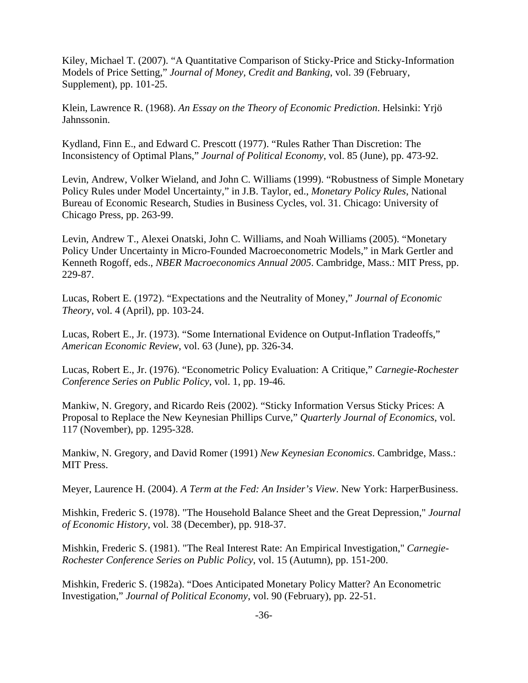Kiley, Michael T. (2007). "A Quantitative Comparison of Sticky-Price and Sticky-Information Models of Price Setting," *Journal of Money, Credit and Banking*, vol. 39 (February, Supplement), pp. 101-25.

Klein, Lawrence R. (1968). *An Essay on the Theory of Economic Prediction*. Helsinki: Yrjö Jahnssonin.

Kydland, Finn E., and Edward C. Prescott (1977). "Rules Rather Than Discretion: The Inconsistency of Optimal Plans," *Journal of Political Economy*, vol. 85 (June), pp. 473-92.

Levin, Andrew, Volker Wieland, and John C. Williams (1999). "Robustness of Simple Monetary Policy Rules under Model Uncertainty," in J.B. Taylor, ed., *Monetary Policy Rules*, National Bureau of Economic Research, Studies in Business Cycles, vol. 31. Chicago: University of Chicago Press, pp. 263-99.

Levin, Andrew T., Alexei Onatski, John C. Williams, and Noah Williams (2005). "Monetary Policy Under Uncertainty in Micro-Founded Macroeconometric Models," in Mark Gertler and Kenneth Rogoff, eds., *NBER Macroeconomics Annual 2005*. Cambridge, Mass.: MIT Press, pp. 229-87.

Lucas, Robert E. (1972). "Expectations and the Neutrality of Money," *Journal of Economic Theory*, vol. 4 (April), pp. 103-24.

Lucas, Robert E., Jr. (1973). "Some International Evidence on Output-Inflation Tradeoffs," *American Economic Review*, vol. 63 (June), pp. 326-34.

Lucas, Robert E., Jr. (1976). "Econometric Policy Evaluation: A Critique," *Carnegie-Rochester Conference Series on Public Policy*, vol. 1, pp. 19-46.

Mankiw, N. Gregory, and Ricardo Reis (2002). "Sticky Information Versus Sticky Prices: A Proposal to Replace the New Keynesian Phillips Curve," *Quarterly Journal of Economics*, vol. 117 (November), pp. 1295-328.

Mankiw, N. Gregory, and David Romer (1991) *New Keynesian Economics*. Cambridge, Mass.: MIT Press.

Meyer, Laurence H. (2004). *A Term at the Fed: An Insider's View*. New York: HarperBusiness.

Mishkin, Frederic S. (1978). "The Household Balance Sheet and the Great Depression," *Journal of Economic History*, vol. 38 (December), pp. 918-37.

Mishkin, Frederic S. (1981). "The Real Interest Rate: An Empirical Investigation," *Carnegie-Rochester Conference Series on Public Policy*, vol. 15 (Autumn), pp. 151-200.

Mishkin, Frederic S. (1982a). "Does Anticipated Monetary Policy Matter? An Econometric Investigation," *Journal of Political Economy*, vol. 90 (February), pp. 22-51.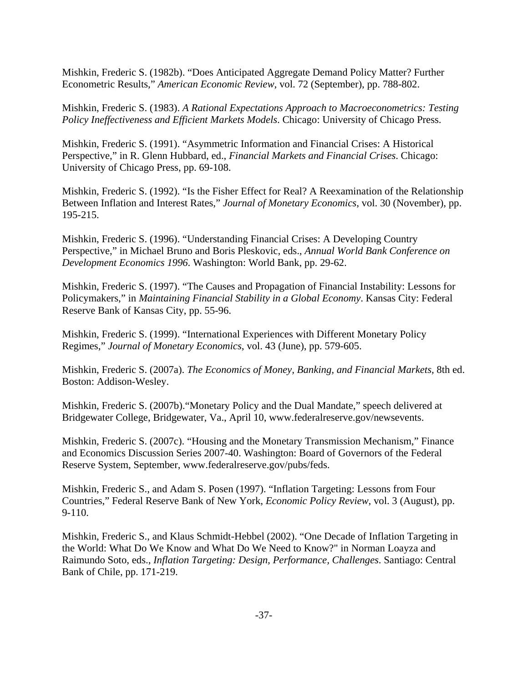Mishkin, Frederic S. (1982b). "Does Anticipated Aggregate Demand Policy Matter? Further Econometric Results," *American Economic Review*, vol. 72 (September), pp. 788-802.

Mishkin, Frederic S. (1983). *A Rational Expectations Approach to Macroeconometrics: Testing Policy Ineffectiveness and Efficient Markets Models*. Chicago: University of Chicago Press.

Mishkin, Frederic S. (1991). "Asymmetric Information and Financial Crises: A Historical Perspective," in R. Glenn Hubbard, ed., *Financial Markets and Financial Crises*. Chicago: University of Chicago Press, pp. 69-108.

Mishkin, Frederic S. (1992). "Is the Fisher Effect for Real? A Reexamination of the Relationship Between Inflation and Interest Rates," *Journal of Monetary Economics*, vol. 30 (November), pp. 195-215.

Mishkin, Frederic S. (1996). "Understanding Financial Crises: A Developing Country Perspective," in Michael Bruno and Boris Pleskovic, eds., *Annual World Bank Conference on Development Economics 1996*. Washington: World Bank, pp. 29-62.

Mishkin, Frederic S. (1997). "The Causes and Propagation of Financial Instability: Lessons for Policymakers," in *Maintaining Financial Stability in a Global Economy*. Kansas City: Federal Reserve Bank of Kansas City, pp. 55-96.

Mishkin, Frederic S. (1999). "International Experiences with Different Monetary Policy Regimes," *Journal of Monetary Economics*, vol. 43 (June), pp. 579-605.

Mishkin, Frederic S. (2007a). *The Economics of Money, Banking, and Financial Markets,* 8th ed. Boston: Addison-Wesley.

Mishkin, Frederic S. (2007b)."Monetary Policy and the Dual Mandate," speech delivered at Bridgewater College, Bridgewater, Va., April 10, www.federalreserve.gov/newsevents.

Mishkin, Frederic S. (2007c). "Housing and the Monetary Transmission Mechanism," Finance and Economics Discussion Series 2007-40. Washington: Board of Governors of the Federal Reserve System, September, www.federalreserve.gov/pubs/feds.

Mishkin, Frederic S., and Adam S. Posen (1997). "Inflation Targeting: Lessons from Four Countries," Federal Reserve Bank of New York, *Economic Policy Review*, vol. 3 (August), pp. 9-110.

Mishkin, Frederic S., and Klaus Schmidt-Hebbel (2002). "One Decade of Inflation Targeting in the World: What Do We Know and What Do We Need to Know?" in Norman Loayza and Raimundo Soto, eds., *Inflation Targeting: Design, Performance, Challenges*. Santiago: Central Bank of Chile, pp. 171-219.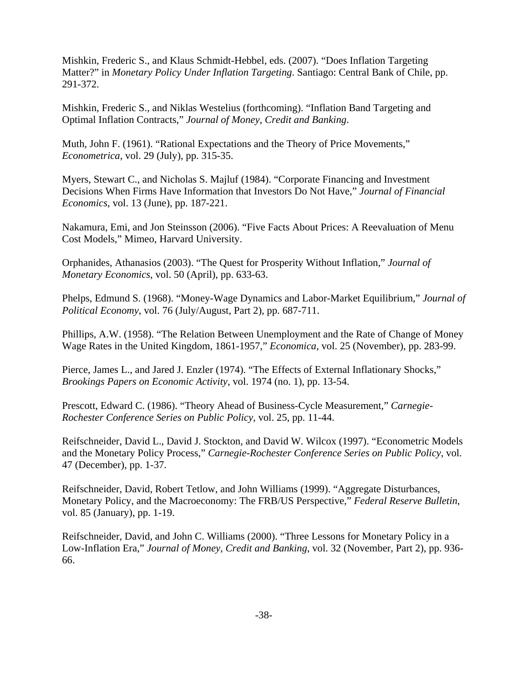Mishkin, Frederic S., and Klaus Schmidt-Hebbel, eds. (2007). "Does Inflation Targeting Matter?" in *Monetary Policy Under Inflation Targeting*. Santiago: Central Bank of Chile, pp. 291-372.

Mishkin, Frederic S., and Niklas Westelius (forthcoming). "Inflation Band Targeting and Optimal Inflation Contracts," *Journal of Money, Credit and Banking*.

Muth, John F. (1961). "Rational Expectations and the Theory of Price Movements," *Econometrica*, vol. 29 (July), pp. 315-35.

Myers, Stewart C., and Nicholas S. Majluf (1984). "Corporate Financing and Investment Decisions When Firms Have Information that Investors Do Not Have," *Journal of Financial Economics*, vol. 13 (June), pp. 187-221.

Nakamura, Emi, and Jon Steinsson (2006). "Five Facts About Prices: A Reevaluation of Menu Cost Models," Mimeo, Harvard University.

Orphanides, Athanasios (2003). "The Quest for Prosperity Without Inflation," *Journal of Monetary Economics*, vol. 50 (April), pp. 633-63.

Phelps, Edmund S. (1968). "Money-Wage Dynamics and Labor-Market Equilibrium," *Journal of Political Economy*, vol. 76 (July/August, Part 2), pp. 687-711.

Phillips, A.W. (1958). "The Relation Between Unemployment and the Rate of Change of Money Wage Rates in the United Kingdom, 1861-1957," *Economica*, vol. 25 (November), pp. 283-99.

Pierce, James L., and Jared J. Enzler (1974). "The Effects of External Inflationary Shocks," *Brookings Papers on Economic Activity*, vol. 1974 (no. 1), pp. 13-54.

Prescott, Edward C. (1986). "Theory Ahead of Business-Cycle Measurement," *Carnegie-Rochester Conference Series on Public Policy*, vol. 25, pp. 11-44.

Reifschneider, David L., David J. Stockton, and David W. Wilcox (1997). "Econometric Models and the Monetary Policy Process," *Carnegie-Rochester Conference Series on Public Policy*, vol. 47 (December), pp. 1-37.

Reifschneider, David, Robert Tetlow, and John Williams (1999). "Aggregate Disturbances, Monetary Policy, and the Macroeconomy: The FRB/US Perspective," *Federal Reserve Bulletin*, vol. 85 (January), pp. 1-19.

Reifschneider, David, and John C. Williams (2000). "Three Lessons for Monetary Policy in a Low-Inflation Era," *Journal of Money, Credit and Banking*, vol. 32 (November, Part 2), pp. 936- 66.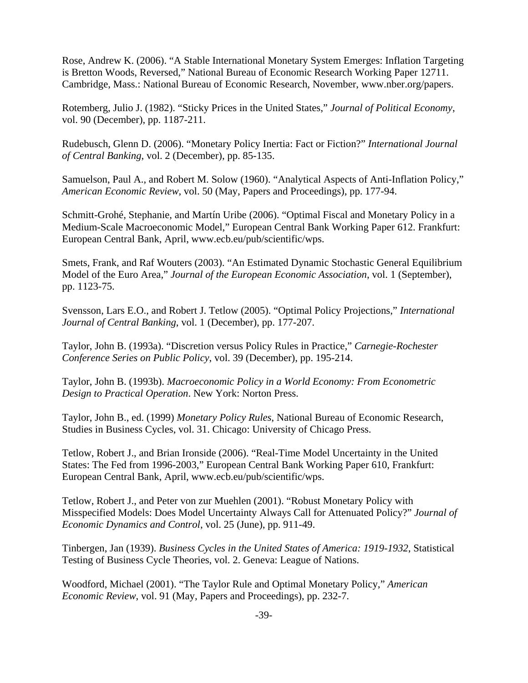Rose, Andrew K. (2006). "A Stable International Monetary System Emerges: Inflation Targeting is Bretton Woods, Reversed," National Bureau of Economic Research Working Paper 12711. Cambridge, Mass.: National Bureau of Economic Research, November, www.nber.org/papers.

Rotemberg, Julio J. (1982). "Sticky Prices in the United States," *Journal of Political Economy*, vol. 90 (December), pp. 1187-211.

Rudebusch, Glenn D. (2006). "Monetary Policy Inertia: Fact or Fiction?" *International Journal of Central Banking*, vol. 2 (December), pp. 85-135.

Samuelson, Paul A., and Robert M. Solow (1960). "Analytical Aspects of Anti-Inflation Policy," *American Economic Review*, vol. 50 (May, Papers and Proceedings), pp. 177-94.

Schmitt-Grohé, Stephanie, and Martín Uribe (2006). "Optimal Fiscal and Monetary Policy in a Medium-Scale Macroeconomic Model," European Central Bank Working Paper 612. Frankfurt: European Central Bank, April, www.ecb.eu/pub/scientific/wps.

Smets, Frank, and Raf Wouters (2003). "An Estimated Dynamic Stochastic General Equilibrium Model of the Euro Area," *Journal of the European Economic Association*, vol. 1 (September), pp. 1123-75.

Svensson, Lars E.O., and Robert J. Tetlow (2005). "Optimal Policy Projections," *International Journal of Central Banking*, vol. 1 (December), pp. 177-207.

Taylor, John B. (1993a). "Discretion versus Policy Rules in Practice," *Carnegie-Rochester Conference Series on Public Policy*, vol. 39 (December), pp. 195-214.

Taylor, John B. (1993b). *Macroeconomic Policy in a World Economy: From Econometric Design to Practical Operation*. New York: Norton Press.

Taylor, John B., ed. (1999) *Monetary Policy Rules*, National Bureau of Economic Research, Studies in Business Cycles, vol. 31. Chicago: University of Chicago Press.

Tetlow, Robert J., and Brian Ironside (2006). "Real-Time Model Uncertainty in the United States: The Fed from 1996-2003," European Central Bank Working Paper 610, Frankfurt: European Central Bank, April, www.ecb.eu/pub/scientific/wps.

Tetlow, Robert J., and Peter von zur Muehlen (2001). "Robust Monetary Policy with Misspecified Models: Does Model Uncertainty Always Call for Attenuated Policy?" *Journal of Economic Dynamics and Control*, vol. 25 (June), pp. 911-49.

Tinbergen, Jan (1939). *Business Cycles in the United States of America: 1919-1932*, Statistical Testing of Business Cycle Theories, vol. 2. Geneva: League of Nations.

Woodford, Michael (2001). "The Taylor Rule and Optimal Monetary Policy," *American Economic Review*, vol. 91 (May, Papers and Proceedings), pp. 232-7.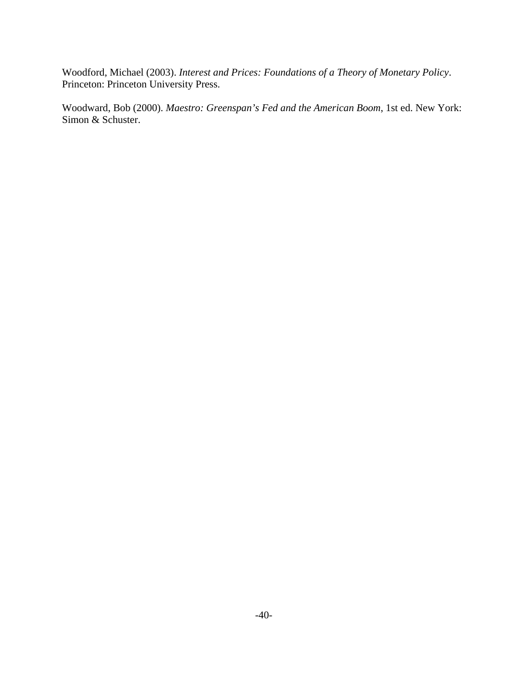Woodford, Michael (2003). *Interest and Prices: Foundations of a Theory of Monetary Policy*. Princeton: Princeton University Press.

Woodward, Bob (2000). *Maestro: Greenspan's Fed and the American Boom*, 1st ed. New York: Simon & Schuster.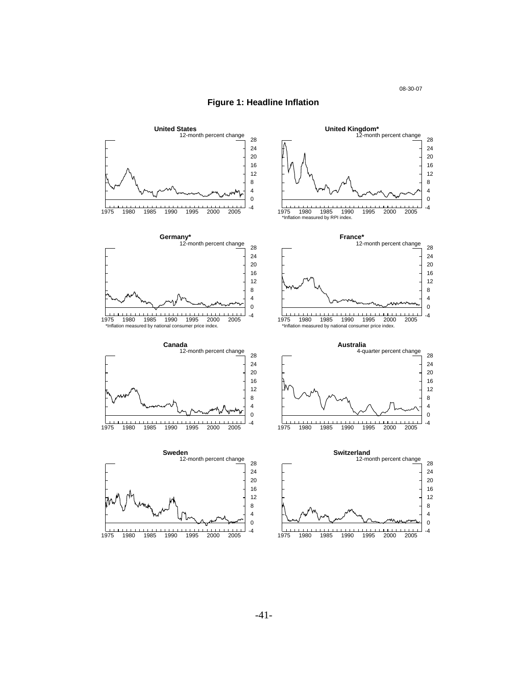08-30-07



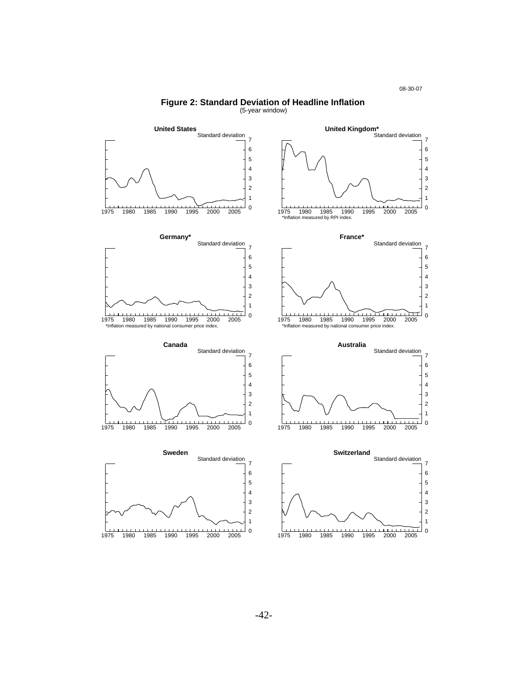08-30-07

#### 1975 1980 1985 1990 1995 2000 2005 **United States** Standard deviation 1975 1980 1985 1990 1995 2000 2005 \*Inflation measured by RPI index. **United Kingdom\*** Standard deviation 1975 1980 1985 1990 1995 2000 2005 \*Inflation measured by national consumer price index. **Germany\*** Standard deviation 1975 1980 1985 1990 1995 2000 2005 \*Inflation measured by national consumer price index. **France\*** Standard deviation 1975 1980 1985 1990 1995 2000 2005 **Canada** Standard deviation 1975 1980 1985 1990 1995 2000 2005 **Australia** Standard deviation 1975 1980 1985 1990 1995 2000 2005 **Sweden** Standard deviation 1975 1980 1985 1990 1995 2000 2005 **Switzerland** Standard deviation

# **Figure 2: Standard Deviation of Headline Inflation** (5-year window)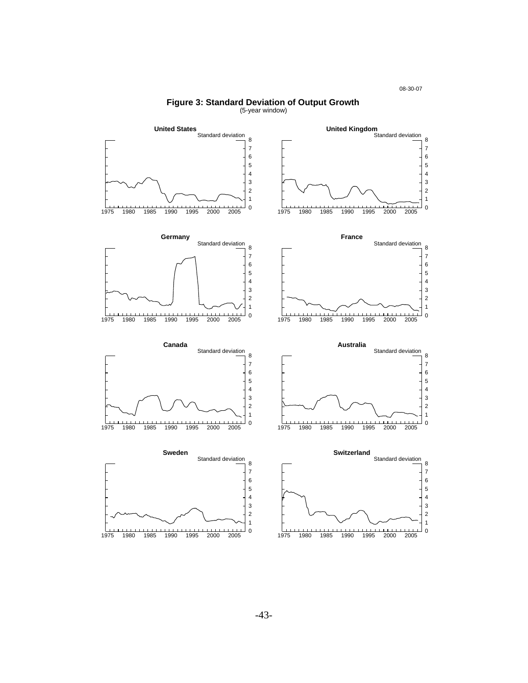08-30-07

 

#### 1975 1980 1985 1990 1995 2000 2005 **United States** Standard deviation 1975 1980 1985 1990 1995 2000 2005 **United Kingdom** Standard deviation 1975 1980 1985 1990 1995 2000 2005 **Germany** Standard deviation 1975 1980 1985 1990 1995 2000 2005 **France** Standard deviation 1975 1980 1985 1990 1995 2000 2005 **Canada** Standard deviation 1975 1980 1985 1990 1995 2000 2005 **Australia** Standard deviation **Sweden** Standard deviation **Switzerland** Standard deviation

# **Figure 3: Standard Deviation of Output Growth** (5-year window)

1975 1980 1985 1990 1995 2000 2005

 

1975 1980 1985 1990 1995 2000 2005